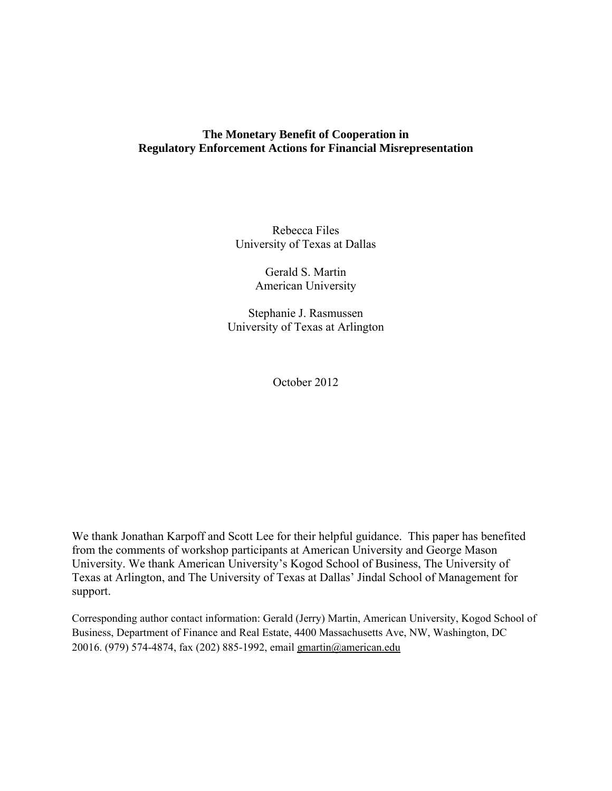## **The Monetary Benefit of Cooperation in Regulatory Enforcement Actions for Financial Misrepresentation**

Rebecca Files University of Texas at Dallas

> Gerald S. Martin American University

Stephanie J. Rasmussen University of Texas at Arlington

October 2012

We thank Jonathan Karpoff and Scott Lee for their helpful guidance. This paper has benefited from the comments of workshop participants at American University and George Mason University. We thank American University's Kogod School of Business, The University of Texas at Arlington, and The University of Texas at Dallas' Jindal School of Management for support.

Corresponding author contact information: Gerald (Jerry) Martin, American University, Kogod School of Business, Department of Finance and Real Estate, 4400 Massachusetts Ave, NW, Washington, DC 20016. (979) 574-4874, fax (202) 885-1992, email gmartin@american.edu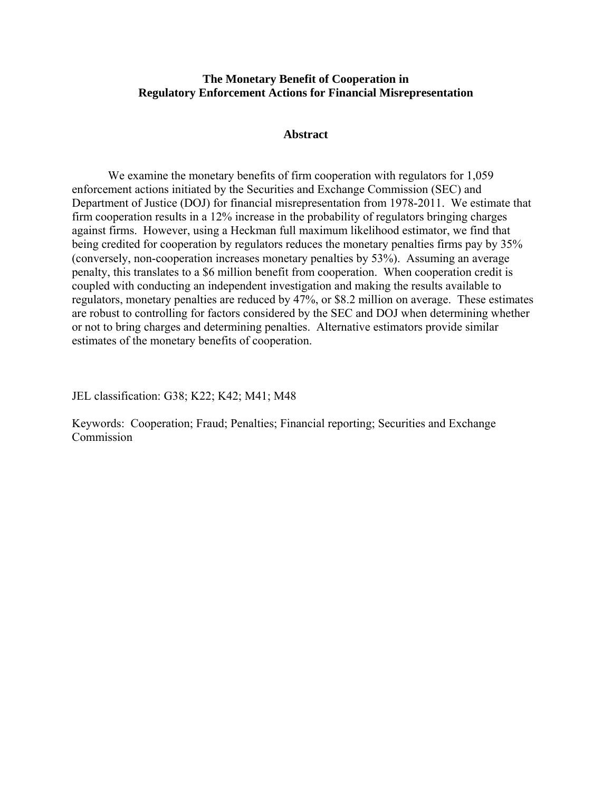## **The Monetary Benefit of Cooperation in Regulatory Enforcement Actions for Financial Misrepresentation**

#### **Abstract**

We examine the monetary benefits of firm cooperation with regulators for 1,059 enforcement actions initiated by the Securities and Exchange Commission (SEC) and Department of Justice (DOJ) for financial misrepresentation from 1978-2011. We estimate that firm cooperation results in a 12% increase in the probability of regulators bringing charges against firms. However, using a Heckman full maximum likelihood estimator, we find that being credited for cooperation by regulators reduces the monetary penalties firms pay by 35% (conversely, non-cooperation increases monetary penalties by 53%). Assuming an average penalty, this translates to a \$6 million benefit from cooperation. When cooperation credit is coupled with conducting an independent investigation and making the results available to regulators, monetary penalties are reduced by 47%, or \$8.2 million on average. These estimates are robust to controlling for factors considered by the SEC and DOJ when determining whether or not to bring charges and determining penalties. Alternative estimators provide similar estimates of the monetary benefits of cooperation.

JEL classification: G38; K22; K42; M41; M48

Keywords: Cooperation; Fraud; Penalties; Financial reporting; Securities and Exchange Commission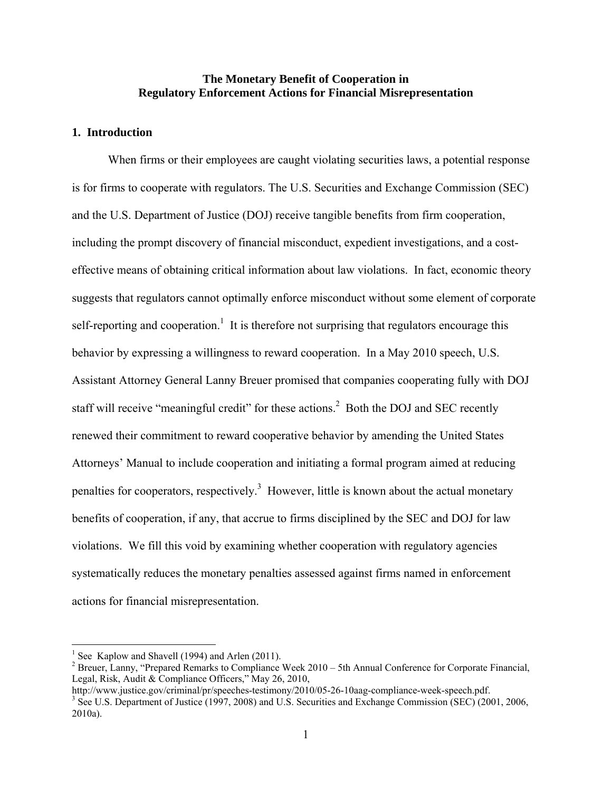## **The Monetary Benefit of Cooperation in Regulatory Enforcement Actions for Financial Misrepresentation**

## **1. Introduction**

When firms or their employees are caught violating securities laws, a potential response is for firms to cooperate with regulators. The U.S. Securities and Exchange Commission (SEC) and the U.S. Department of Justice (DOJ) receive tangible benefits from firm cooperation, including the prompt discovery of financial misconduct, expedient investigations, and a costeffective means of obtaining critical information about law violations. In fact, economic theory suggests that regulators cannot optimally enforce misconduct without some element of corporate self-reporting and cooperation.<sup>1</sup> It is therefore not surprising that regulators encourage this behavior by expressing a willingness to reward cooperation. In a May 2010 speech, U.S. Assistant Attorney General Lanny Breuer promised that companies cooperating fully with DOJ staff will receive "meaningful credit" for these actions.<sup>2</sup> Both the DOJ and SEC recently renewed their commitment to reward cooperative behavior by amending the United States Attorneys' Manual to include cooperation and initiating a formal program aimed at reducing penalties for cooperators, respectively.<sup>3</sup> However, little is known about the actual monetary benefits of cooperation, if any, that accrue to firms disciplined by the SEC and DOJ for law violations. We fill this void by examining whether cooperation with regulatory agencies systematically reduces the monetary penalties assessed against firms named in enforcement actions for financial misrepresentation.

<sup>&</sup>lt;sup>1</sup> See Kaplow and Shavell (1994) and Arlen (2011).

<sup>&</sup>lt;sup>2</sup> Breuer, Lanny, "Prepared Remarks to Compliance Week  $2010 - 5$ th Annual Conference for Corporate Financial, Legal, Risk, Audit & Compliance Officers," May 26, 2010,

http://www.justice.gov/criminal/pr/speeches-testimony/2010/05-26-10aag-compliance-week-speech.pdf.

<sup>&</sup>lt;sup>3</sup> See U.S. Department of Justice (1997, 2008) and U.S. Securities and Exchange Commission (SEC) (2001, 2006, 2010a).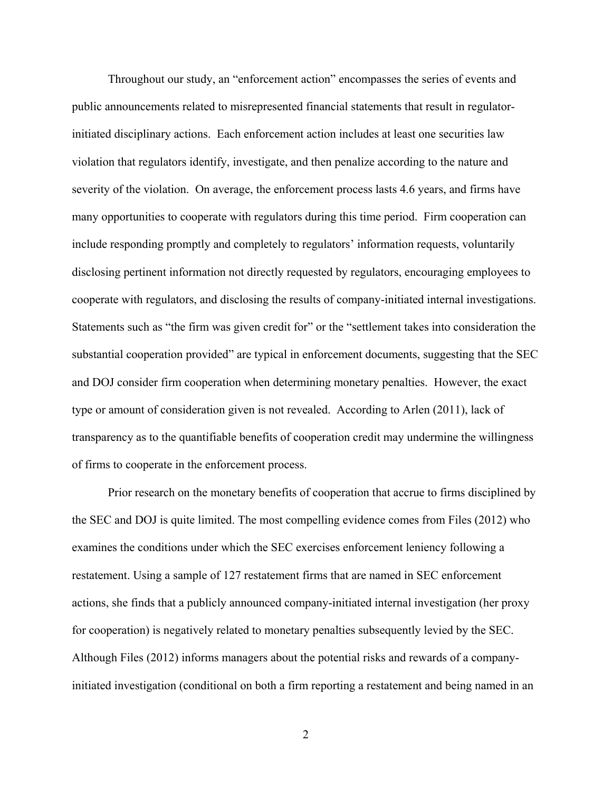Throughout our study, an "enforcement action" encompasses the series of events and public announcements related to misrepresented financial statements that result in regulatorinitiated disciplinary actions. Each enforcement action includes at least one securities law violation that regulators identify, investigate, and then penalize according to the nature and severity of the violation. On average, the enforcement process lasts 4.6 years, and firms have many opportunities to cooperate with regulators during this time period. Firm cooperation can include responding promptly and completely to regulators' information requests, voluntarily disclosing pertinent information not directly requested by regulators, encouraging employees to cooperate with regulators, and disclosing the results of company-initiated internal investigations. Statements such as "the firm was given credit for" or the "settlement takes into consideration the substantial cooperation provided" are typical in enforcement documents, suggesting that the SEC and DOJ consider firm cooperation when determining monetary penalties. However, the exact type or amount of consideration given is not revealed. According to Arlen (2011), lack of transparency as to the quantifiable benefits of cooperation credit may undermine the willingness of firms to cooperate in the enforcement process.

Prior research on the monetary benefits of cooperation that accrue to firms disciplined by the SEC and DOJ is quite limited. The most compelling evidence comes from Files (2012) who examines the conditions under which the SEC exercises enforcement leniency following a restatement. Using a sample of 127 restatement firms that are named in SEC enforcement actions, she finds that a publicly announced company-initiated internal investigation (her proxy for cooperation) is negatively related to monetary penalties subsequently levied by the SEC. Although Files (2012) informs managers about the potential risks and rewards of a companyinitiated investigation (conditional on both a firm reporting a restatement and being named in an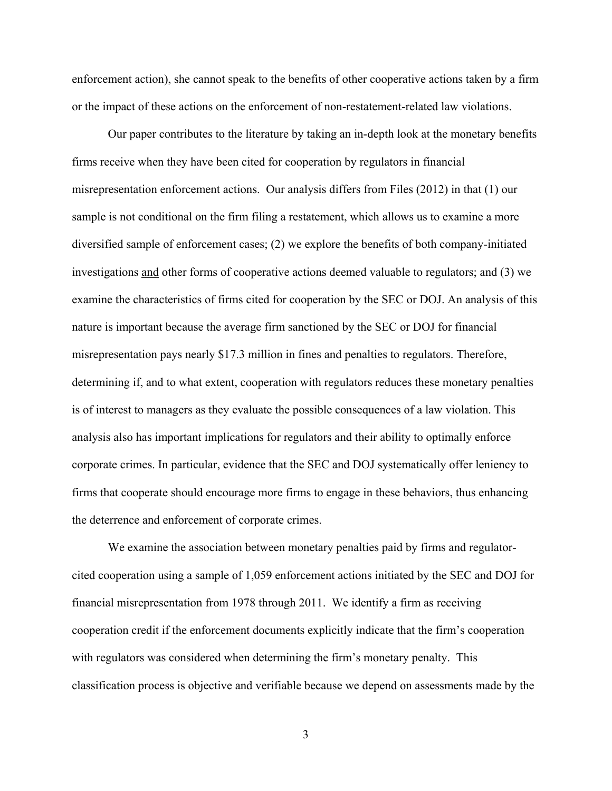enforcement action), she cannot speak to the benefits of other cooperative actions taken by a firm or the impact of these actions on the enforcement of non-restatement-related law violations.

Our paper contributes to the literature by taking an in-depth look at the monetary benefits firms receive when they have been cited for cooperation by regulators in financial misrepresentation enforcement actions. Our analysis differs from Files (2012) in that (1) our sample is not conditional on the firm filing a restatement, which allows us to examine a more diversified sample of enforcement cases; (2) we explore the benefits of both company-initiated investigations and other forms of cooperative actions deemed valuable to regulators; and (3) we examine the characteristics of firms cited for cooperation by the SEC or DOJ. An analysis of this nature is important because the average firm sanctioned by the SEC or DOJ for financial misrepresentation pays nearly \$17.3 million in fines and penalties to regulators. Therefore, determining if, and to what extent, cooperation with regulators reduces these monetary penalties is of interest to managers as they evaluate the possible consequences of a law violation. This analysis also has important implications for regulators and their ability to optimally enforce corporate crimes. In particular, evidence that the SEC and DOJ systematically offer leniency to firms that cooperate should encourage more firms to engage in these behaviors, thus enhancing the deterrence and enforcement of corporate crimes.

We examine the association between monetary penalties paid by firms and regulatorcited cooperation using a sample of 1,059 enforcement actions initiated by the SEC and DOJ for financial misrepresentation from 1978 through 2011. We identify a firm as receiving cooperation credit if the enforcement documents explicitly indicate that the firm's cooperation with regulators was considered when determining the firm's monetary penalty. This classification process is objective and verifiable because we depend on assessments made by the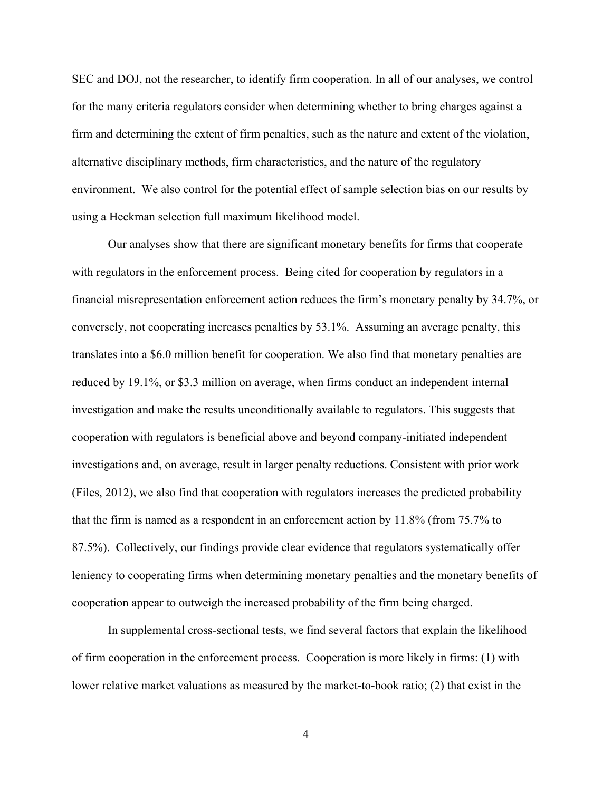SEC and DOJ, not the researcher, to identify firm cooperation. In all of our analyses, we control for the many criteria regulators consider when determining whether to bring charges against a firm and determining the extent of firm penalties, such as the nature and extent of the violation, alternative disciplinary methods, firm characteristics, and the nature of the regulatory environment. We also control for the potential effect of sample selection bias on our results by using a Heckman selection full maximum likelihood model.

Our analyses show that there are significant monetary benefits for firms that cooperate with regulators in the enforcement process. Being cited for cooperation by regulators in a financial misrepresentation enforcement action reduces the firm's monetary penalty by 34.7%, or conversely, not cooperating increases penalties by 53.1%. Assuming an average penalty, this translates into a \$6.0 million benefit for cooperation. We also find that monetary penalties are reduced by 19.1%, or \$3.3 million on average, when firms conduct an independent internal investigation and make the results unconditionally available to regulators. This suggests that cooperation with regulators is beneficial above and beyond company-initiated independent investigations and, on average, result in larger penalty reductions. Consistent with prior work (Files, 2012), we also find that cooperation with regulators increases the predicted probability that the firm is named as a respondent in an enforcement action by 11.8% (from 75.7% to 87.5%). Collectively, our findings provide clear evidence that regulators systematically offer leniency to cooperating firms when determining monetary penalties and the monetary benefits of cooperation appear to outweigh the increased probability of the firm being charged.

In supplemental cross-sectional tests, we find several factors that explain the likelihood of firm cooperation in the enforcement process. Cooperation is more likely in firms: (1) with lower relative market valuations as measured by the market-to-book ratio; (2) that exist in the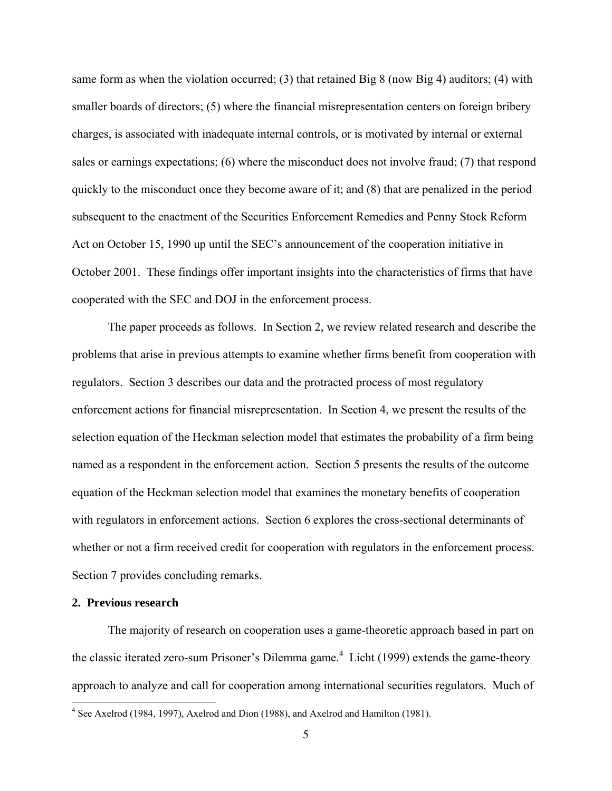same form as when the violation occurred; (3) that retained Big 8 (now Big 4) auditors; (4) with smaller boards of directors; (5) where the financial misrepresentation centers on foreign bribery charges, is associated with inadequate internal controls, or is motivated by internal or external sales or earnings expectations; (6) where the misconduct does not involve fraud; (7) that respond quickly to the misconduct once they become aware of it; and (8) that are penalized in the period subsequent to the enactment of the Securities Enforcement Remedies and Penny Stock Reform Act on October 15, 1990 up until the SEC's announcement of the cooperation initiative in October 2001. These findings offer important insights into the characteristics of firms that have cooperated with the SEC and DOJ in the enforcement process.

The paper proceeds as follows. In Section 2, we review related research and describe the problems that arise in previous attempts to examine whether firms benefit from cooperation with regulators. Section 3 describes our data and the protracted process of most regulatory enforcement actions for financial misrepresentation. In Section 4, we present the results of the selection equation of the Heckman selection model that estimates the probability of a firm being named as a respondent in the enforcement action. Section 5 presents the results of the outcome equation of the Heckman selection model that examines the monetary benefits of cooperation with regulators in enforcement actions. Section 6 explores the cross-sectional determinants of whether or not a firm received credit for cooperation with regulators in the enforcement process. Section 7 provides concluding remarks.

#### **2. Previous research**

The majority of research on cooperation uses a game-theoretic approach based in part on the classic iterated zero-sum Prisoner's Dilemma game.<sup>4</sup> Licht (1999) extends the game-theory approach to analyze and call for cooperation among international securities regulators. Much of

 4 See Axelrod (1984, 1997), Axelrod and Dion (1988), and Axelrod and Hamilton (1981).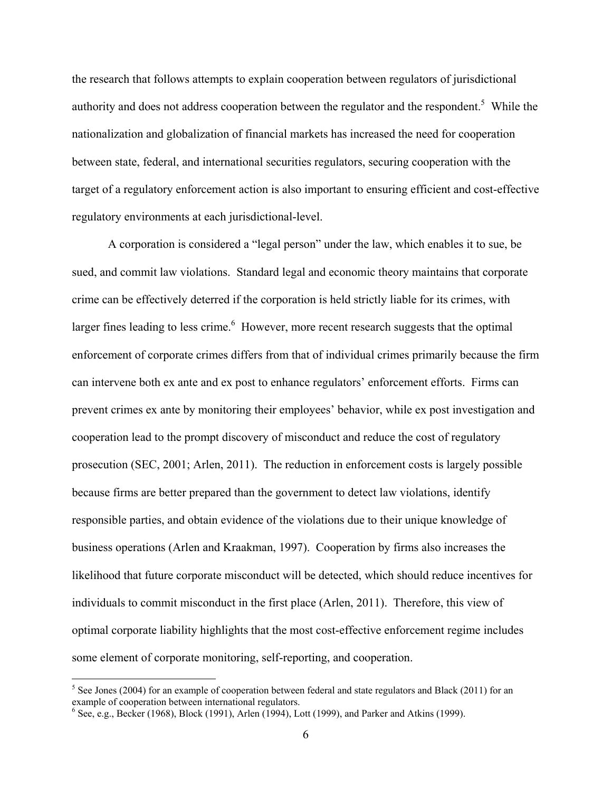the research that follows attempts to explain cooperation between regulators of jurisdictional authority and does not address cooperation between the regulator and the respondent.<sup>5</sup> While the nationalization and globalization of financial markets has increased the need for cooperation between state, federal, and international securities regulators, securing cooperation with the target of a regulatory enforcement action is also important to ensuring efficient and cost-effective regulatory environments at each jurisdictional-level.

A corporation is considered a "legal person" under the law, which enables it to sue, be sued, and commit law violations. Standard legal and economic theory maintains that corporate crime can be effectively deterred if the corporation is held strictly liable for its crimes, with larger fines leading to less crime. $<sup>6</sup>$  However, more recent research suggests that the optimal</sup> enforcement of corporate crimes differs from that of individual crimes primarily because the firm can intervene both ex ante and ex post to enhance regulators' enforcement efforts. Firms can prevent crimes ex ante by monitoring their employees' behavior, while ex post investigation and cooperation lead to the prompt discovery of misconduct and reduce the cost of regulatory prosecution (SEC, 2001; Arlen, 2011). The reduction in enforcement costs is largely possible because firms are better prepared than the government to detect law violations, identify responsible parties, and obtain evidence of the violations due to their unique knowledge of business operations (Arlen and Kraakman, 1997). Cooperation by firms also increases the likelihood that future corporate misconduct will be detected, which should reduce incentives for individuals to commit misconduct in the first place (Arlen, 2011). Therefore, this view of optimal corporate liability highlights that the most cost-effective enforcement regime includes some element of corporate monitoring, self-reporting, and cooperation.

 $<sup>5</sup>$  See Jones (2004) for an example of cooperation between federal and state regulators and Black (2011) for an</sup> example of cooperation between international regulators.

 $6$  See, e.g., Becker (1968), Block (1991), Arlen (1994), Lott (1999), and Parker and Atkins (1999).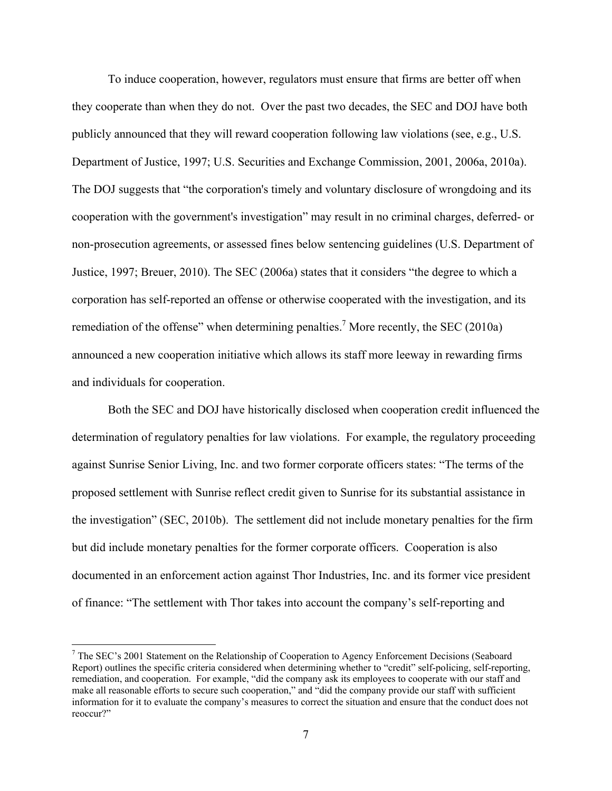To induce cooperation, however, regulators must ensure that firms are better off when they cooperate than when they do not. Over the past two decades, the SEC and DOJ have both publicly announced that they will reward cooperation following law violations (see, e.g., U.S. Department of Justice, 1997; U.S. Securities and Exchange Commission, 2001, 2006a, 2010a). The DOJ suggests that "the corporation's timely and voluntary disclosure of wrongdoing and its cooperation with the government's investigation" may result in no criminal charges, deferred- or non-prosecution agreements, or assessed fines below sentencing guidelines (U.S. Department of Justice, 1997; Breuer, 2010). The SEC (2006a) states that it considers "the degree to which a corporation has self-reported an offense or otherwise cooperated with the investigation, and its remediation of the offense" when determining penalties.<sup>7</sup> More recently, the SEC (2010a) announced a new cooperation initiative which allows its staff more leeway in rewarding firms and individuals for cooperation.

 Both the SEC and DOJ have historically disclosed when cooperation credit influenced the determination of regulatory penalties for law violations. For example, the regulatory proceeding against Sunrise Senior Living, Inc. and two former corporate officers states: "The terms of the proposed settlement with Sunrise reflect credit given to Sunrise for its substantial assistance in the investigation" (SEC, 2010b). The settlement did not include monetary penalties for the firm but did include monetary penalties for the former corporate officers. Cooperation is also documented in an enforcement action against Thor Industries, Inc. and its former vice president of finance: "The settlement with Thor takes into account the company's self-reporting and

<sup>&</sup>lt;sup>7</sup> The SEC's 2001 Statement on the Relationship of Cooperation to Agency Enforcement Decisions (Seaboard Report) outlines the specific criteria considered when determining whether to "credit" self-policing, self-reporting, remediation, and cooperation. For example, "did the company ask its employees to cooperate with our staff and make all reasonable efforts to secure such cooperation," and "did the company provide our staff with sufficient information for it to evaluate the company's measures to correct the situation and ensure that the conduct does not reoccur?"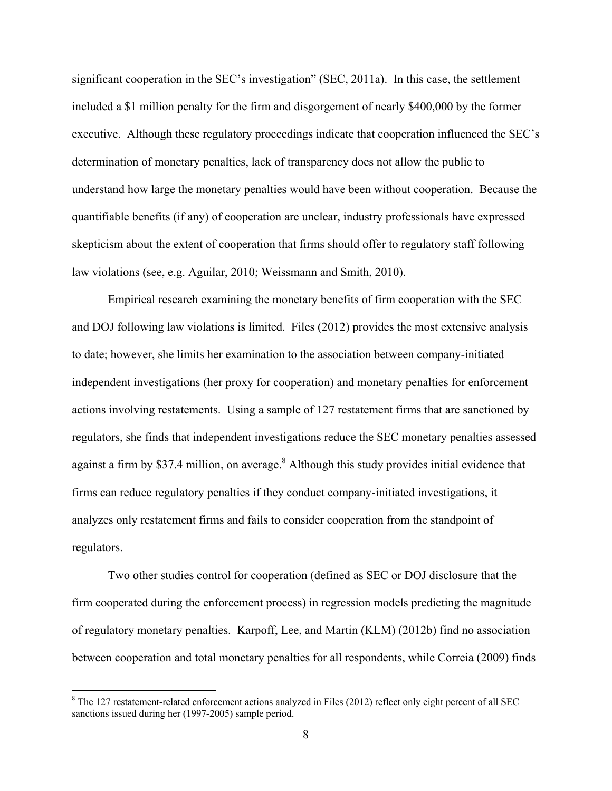significant cooperation in the SEC's investigation" (SEC, 2011a). In this case, the settlement included a \$1 million penalty for the firm and disgorgement of nearly \$400,000 by the former executive. Although these regulatory proceedings indicate that cooperation influenced the SEC's determination of monetary penalties, lack of transparency does not allow the public to understand how large the monetary penalties would have been without cooperation. Because the quantifiable benefits (if any) of cooperation are unclear, industry professionals have expressed skepticism about the extent of cooperation that firms should offer to regulatory staff following law violations (see, e.g. Aguilar, 2010; Weissmann and Smith, 2010).

Empirical research examining the monetary benefits of firm cooperation with the SEC and DOJ following law violations is limited. Files (2012) provides the most extensive analysis to date; however, she limits her examination to the association between company-initiated independent investigations (her proxy for cooperation) and monetary penalties for enforcement actions involving restatements. Using a sample of 127 restatement firms that are sanctioned by regulators, she finds that independent investigations reduce the SEC monetary penalties assessed against a firm by \$37.4 million, on average.<sup>8</sup> Although this study provides initial evidence that firms can reduce regulatory penalties if they conduct company-initiated investigations, it analyzes only restatement firms and fails to consider cooperation from the standpoint of regulators.

Two other studies control for cooperation (defined as SEC or DOJ disclosure that the firm cooperated during the enforcement process) in regression models predicting the magnitude of regulatory monetary penalties. Karpoff, Lee, and Martin (KLM) (2012b) find no association between cooperation and total monetary penalties for all respondents, while Correia (2009) finds

 $8$  The 127 restatement-related enforcement actions analyzed in Files (2012) reflect only eight percent of all SEC sanctions issued during her (1997-2005) sample period.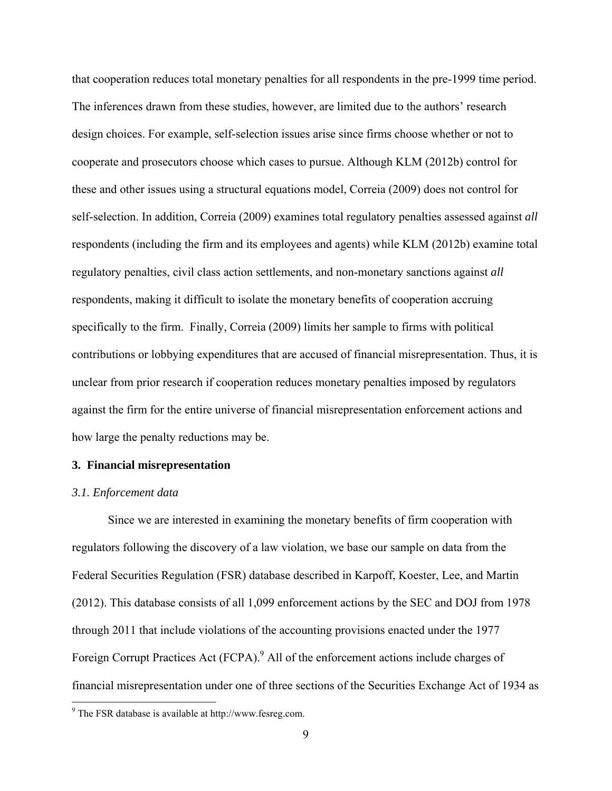that cooperation reduces total monetary penalties for all respondents in the pre-1999 time period. The inferences drawn from these studies, however, are limited due to the authors' research design choices. For example, self-selection issues arise since firms choose whether or not to cooperate and prosecutors choose which cases to pursue. Although KLM (2012b) control for these and other issues using a structural equations model, Correia (2009) does not control for self-selection. In addition, Correia (2009) examines total regulatory penalties assessed against *all* respondents (including the firm and its employees and agents) while KLM (2012b) examine total regulatory penalties, civil class action settlements, and non-monetary sanctions against *all* respondents, making it difficult to isolate the monetary benefits of cooperation accruing specifically to the firm. Finally, Correia (2009) limits her sample to firms with political contributions or lobbying expenditures that are accused of financial misrepresentation. Thus, it is unclear from prior research if cooperation reduces monetary penalties imposed by regulators against the firm for the entire universe of financial misrepresentation enforcement actions and how large the penalty reductions may be.

#### **3. Financial misrepresentation**

#### *3.1. Enforcement data*

 $\overline{a}$ 

Since we are interested in examining the monetary benefits of firm cooperation with regulators following the discovery of a law violation, we base our sample on data from the Federal Securities Regulation (FSR) database described in Karpoff, Koester, Lee, and Martin (2012). This database consists of all 1,099 enforcement actions by the SEC and DOJ from 1978 through 2011 that include violations of the accounting provisions enacted under the 1977 Foreign Corrupt Practices Act (FCPA).<sup>9</sup> All of the enforcement actions include charges of financial misrepresentation under one of three sections of the Securities Exchange Act of 1934 as

<sup>9</sup> The FSR database is available at http://www.fesreg.com.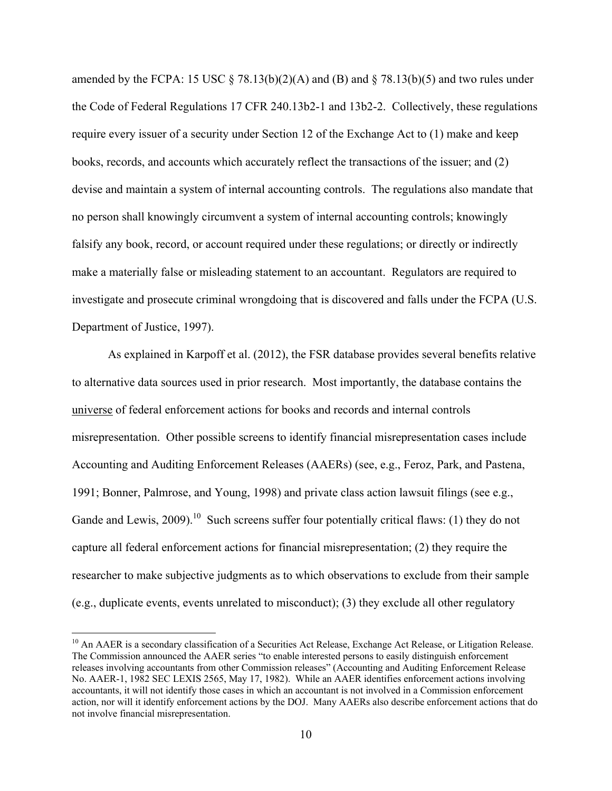amended by the FCPA: 15 USC  $\S$  78.13(b)(2)(A) and (B) and  $\S$  78.13(b)(5) and two rules under the Code of Federal Regulations 17 CFR 240.13b2-1 and 13b2-2. Collectively, these regulations require every issuer of a security under Section 12 of the Exchange Act to (1) make and keep books, records, and accounts which accurately reflect the transactions of the issuer; and (2) devise and maintain a system of internal accounting controls. The regulations also mandate that no person shall knowingly circumvent a system of internal accounting controls; knowingly falsify any book, record, or account required under these regulations; or directly or indirectly make a materially false or misleading statement to an accountant. Regulators are required to investigate and prosecute criminal wrongdoing that is discovered and falls under the FCPA (U.S. Department of Justice, 1997).

As explained in Karpoff et al. (2012), the FSR database provides several benefits relative to alternative data sources used in prior research. Most importantly, the database contains the universe of federal enforcement actions for books and records and internal controls misrepresentation. Other possible screens to identify financial misrepresentation cases include Accounting and Auditing Enforcement Releases (AAERs) (see, e.g., Feroz, Park, and Pastena, 1991; Bonner, Palmrose, and Young, 1998) and private class action lawsuit filings (see e.g., Gande and Lewis, 2009).<sup>10</sup> Such screens suffer four potentially critical flaws: (1) they do not capture all federal enforcement actions for financial misrepresentation; (2) they require the researcher to make subjective judgments as to which observations to exclude from their sample (e.g., duplicate events, events unrelated to misconduct); (3) they exclude all other regulatory

<sup>&</sup>lt;sup>10</sup> An AAER is a secondary classification of a Securities Act Release, Exchange Act Release, or Litigation Release. The Commission announced the AAER series "to enable interested persons to easily distinguish enforcement releases involving accountants from other Commission releases" (Accounting and Auditing Enforcement Release No. AAER-1, 1982 SEC LEXIS 2565, May 17, 1982). While an AAER identifies enforcement actions involving accountants, it will not identify those cases in which an accountant is not involved in a Commission enforcement action, nor will it identify enforcement actions by the DOJ. Many AAERs also describe enforcement actions that do not involve financial misrepresentation.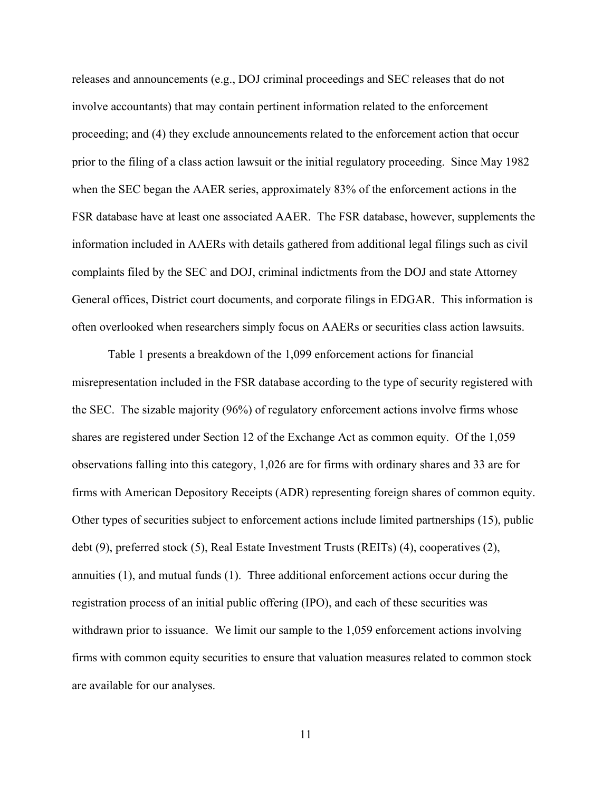releases and announcements (e.g., DOJ criminal proceedings and SEC releases that do not involve accountants) that may contain pertinent information related to the enforcement proceeding; and (4) they exclude announcements related to the enforcement action that occur prior to the filing of a class action lawsuit or the initial regulatory proceeding. Since May 1982 when the SEC began the AAER series, approximately 83% of the enforcement actions in the FSR database have at least one associated AAER. The FSR database, however, supplements the information included in AAERs with details gathered from additional legal filings such as civil complaints filed by the SEC and DOJ, criminal indictments from the DOJ and state Attorney General offices, District court documents, and corporate filings in EDGAR. This information is often overlooked when researchers simply focus on AAERs or securities class action lawsuits.

Table 1 presents a breakdown of the 1,099 enforcement actions for financial misrepresentation included in the FSR database according to the type of security registered with the SEC. The sizable majority (96%) of regulatory enforcement actions involve firms whose shares are registered under Section 12 of the Exchange Act as common equity. Of the 1,059 observations falling into this category, 1,026 are for firms with ordinary shares and 33 are for firms with American Depository Receipts (ADR) representing foreign shares of common equity. Other types of securities subject to enforcement actions include limited partnerships (15), public debt (9), preferred stock (5), Real Estate Investment Trusts (REITs) (4), cooperatives (2), annuities (1), and mutual funds (1). Three additional enforcement actions occur during the registration process of an initial public offering (IPO), and each of these securities was withdrawn prior to issuance. We limit our sample to the 1,059 enforcement actions involving firms with common equity securities to ensure that valuation measures related to common stock are available for our analyses.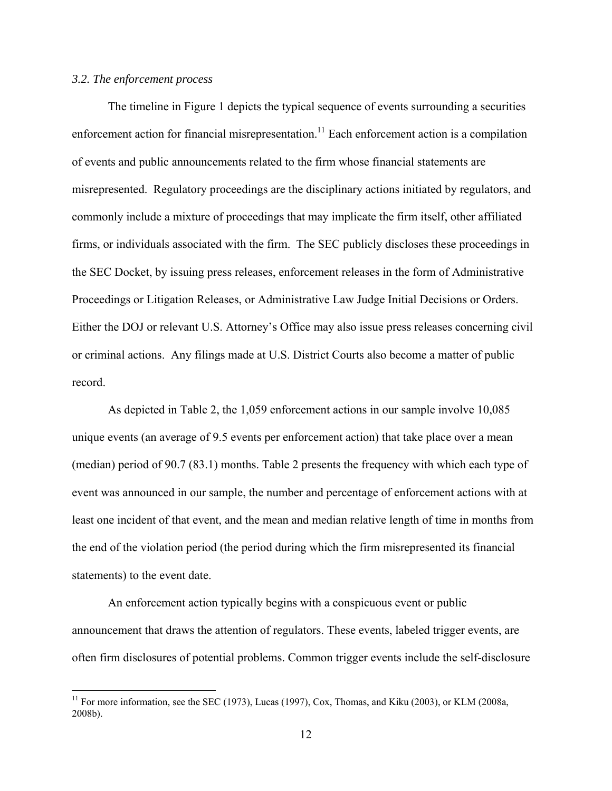### *3.2. The enforcement process*

1

The timeline in Figure 1 depicts the typical sequence of events surrounding a securities enforcement action for financial misrepresentation.<sup>11</sup> Each enforcement action is a compilation of events and public announcements related to the firm whose financial statements are misrepresented. Regulatory proceedings are the disciplinary actions initiated by regulators, and commonly include a mixture of proceedings that may implicate the firm itself, other affiliated firms, or individuals associated with the firm. The SEC publicly discloses these proceedings in the SEC Docket, by issuing press releases, enforcement releases in the form of Administrative Proceedings or Litigation Releases, or Administrative Law Judge Initial Decisions or Orders. Either the DOJ or relevant U.S. Attorney's Office may also issue press releases concerning civil or criminal actions. Any filings made at U.S. District Courts also become a matter of public record.

As depicted in Table 2, the 1,059 enforcement actions in our sample involve 10,085 unique events (an average of 9.5 events per enforcement action) that take place over a mean (median) period of 90.7 (83.1) months. Table 2 presents the frequency with which each type of event was announced in our sample, the number and percentage of enforcement actions with at least one incident of that event, and the mean and median relative length of time in months from the end of the violation period (the period during which the firm misrepresented its financial statements) to the event date.

An enforcement action typically begins with a conspicuous event or public announcement that draws the attention of regulators. These events, labeled trigger events, are often firm disclosures of potential problems. Common trigger events include the self-disclosure

<sup>&</sup>lt;sup>11</sup> For more information, see the SEC (1973), Lucas (1997), Cox, Thomas, and Kiku (2003), or KLM (2008a, 2008b).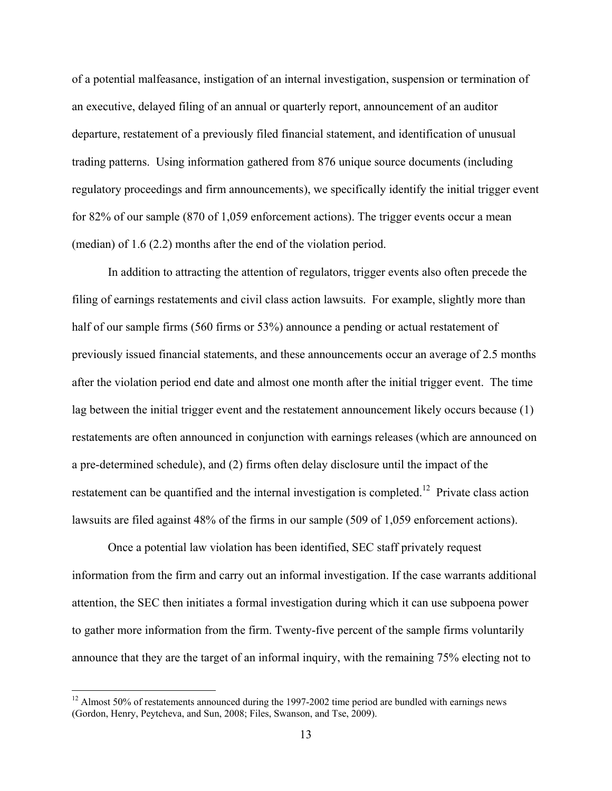of a potential malfeasance, instigation of an internal investigation, suspension or termination of an executive, delayed filing of an annual or quarterly report, announcement of an auditor departure, restatement of a previously filed financial statement, and identification of unusual trading patterns. Using information gathered from 876 unique source documents (including regulatory proceedings and firm announcements), we specifically identify the initial trigger event for 82% of our sample (870 of 1,059 enforcement actions). The trigger events occur a mean (median) of 1.6 (2.2) months after the end of the violation period.

In addition to attracting the attention of regulators, trigger events also often precede the filing of earnings restatements and civil class action lawsuits. For example, slightly more than half of our sample firms (560 firms or 53%) announce a pending or actual restatement of previously issued financial statements, and these announcements occur an average of 2.5 months after the violation period end date and almost one month after the initial trigger event. The time lag between the initial trigger event and the restatement announcement likely occurs because (1) restatements are often announced in conjunction with earnings releases (which are announced on a pre-determined schedule), and (2) firms often delay disclosure until the impact of the restatement can be quantified and the internal investigation is completed.<sup>12</sup> Private class action lawsuits are filed against 48% of the firms in our sample (509 of 1,059 enforcement actions).

Once a potential law violation has been identified, SEC staff privately request information from the firm and carry out an informal investigation. If the case warrants additional attention, the SEC then initiates a formal investigation during which it can use subpoena power to gather more information from the firm. Twenty-five percent of the sample firms voluntarily announce that they are the target of an informal inquiry, with the remaining 75% electing not to

 $12$  Almost 50% of restatements announced during the 1997-2002 time period are bundled with earnings news (Gordon, Henry, Peytcheva, and Sun, 2008; Files, Swanson, and Tse, 2009).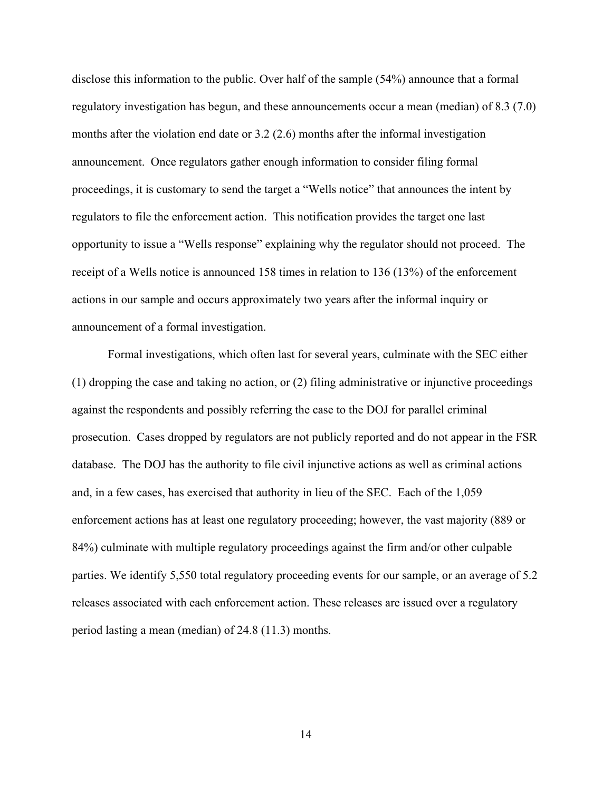disclose this information to the public. Over half of the sample (54%) announce that a formal regulatory investigation has begun, and these announcements occur a mean (median) of 8.3 (7.0) months after the violation end date or 3.2 (2.6) months after the informal investigation announcement. Once regulators gather enough information to consider filing formal proceedings, it is customary to send the target a "Wells notice" that announces the intent by regulators to file the enforcement action. This notification provides the target one last opportunity to issue a "Wells response" explaining why the regulator should not proceed. The receipt of a Wells notice is announced 158 times in relation to 136 (13%) of the enforcement actions in our sample and occurs approximately two years after the informal inquiry or announcement of a formal investigation.

Formal investigations, which often last for several years, culminate with the SEC either (1) dropping the case and taking no action, or (2) filing administrative or injunctive proceedings against the respondents and possibly referring the case to the DOJ for parallel criminal prosecution. Cases dropped by regulators are not publicly reported and do not appear in the FSR database. The DOJ has the authority to file civil injunctive actions as well as criminal actions and, in a few cases, has exercised that authority in lieu of the SEC. Each of the 1,059 enforcement actions has at least one regulatory proceeding; however, the vast majority (889 or 84%) culminate with multiple regulatory proceedings against the firm and/or other culpable parties. We identify 5,550 total regulatory proceeding events for our sample, or an average of 5.2 releases associated with each enforcement action. These releases are issued over a regulatory period lasting a mean (median) of 24.8 (11.3) months.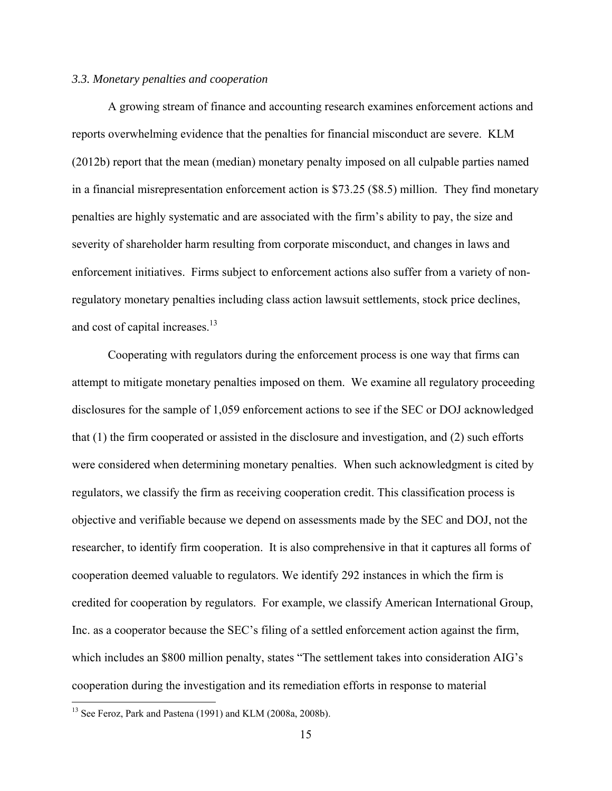#### *3.3. Monetary penalties and cooperation*

A growing stream of finance and accounting research examines enforcement actions and reports overwhelming evidence that the penalties for financial misconduct are severe. KLM (2012b) report that the mean (median) monetary penalty imposed on all culpable parties named in a financial misrepresentation enforcement action is \$73.25 (\$8.5) million. They find monetary penalties are highly systematic and are associated with the firm's ability to pay, the size and severity of shareholder harm resulting from corporate misconduct, and changes in laws and enforcement initiatives. Firms subject to enforcement actions also suffer from a variety of nonregulatory monetary penalties including class action lawsuit settlements, stock price declines, and cost of capital increases.<sup>13</sup>

Cooperating with regulators during the enforcement process is one way that firms can attempt to mitigate monetary penalties imposed on them. We examine all regulatory proceeding disclosures for the sample of 1,059 enforcement actions to see if the SEC or DOJ acknowledged that (1) the firm cooperated or assisted in the disclosure and investigation, and (2) such efforts were considered when determining monetary penalties. When such acknowledgment is cited by regulators, we classify the firm as receiving cooperation credit. This classification process is objective and verifiable because we depend on assessments made by the SEC and DOJ, not the researcher, to identify firm cooperation. It is also comprehensive in that it captures all forms of cooperation deemed valuable to regulators. We identify 292 instances in which the firm is credited for cooperation by regulators. For example, we classify American International Group, Inc. as a cooperator because the SEC's filing of a settled enforcement action against the firm, which includes an \$800 million penalty, states "The settlement takes into consideration AIG's cooperation during the investigation and its remediation efforts in response to material

<sup>&</sup>lt;sup>13</sup> See Feroz, Park and Pastena (1991) and KLM (2008a, 2008b).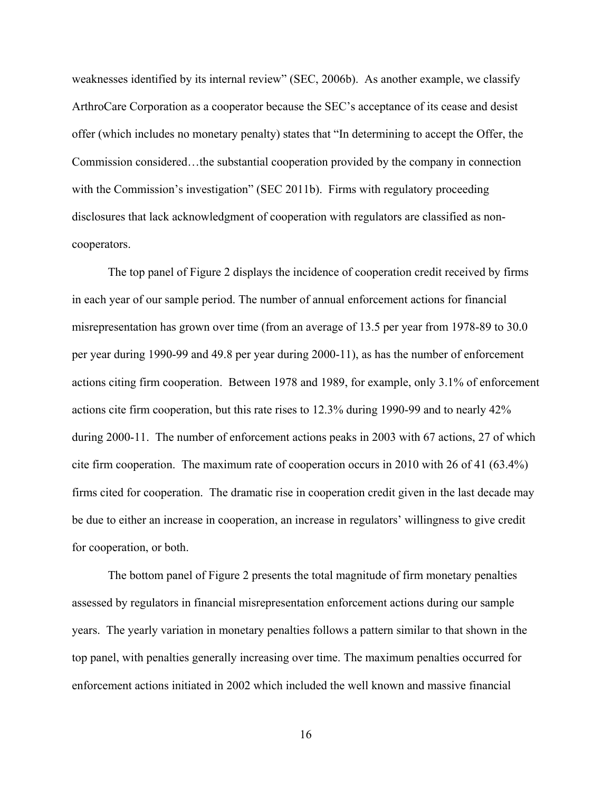weaknesses identified by its internal review" (SEC, 2006b). As another example, we classify ArthroCare Corporation as a cooperator because the SEC's acceptance of its cease and desist offer (which includes no monetary penalty) states that "In determining to accept the Offer, the Commission considered…the substantial cooperation provided by the company in connection with the Commission's investigation" (SEC 2011b). Firms with regulatory proceeding disclosures that lack acknowledgment of cooperation with regulators are classified as noncooperators.

The top panel of Figure 2 displays the incidence of cooperation credit received by firms in each year of our sample period. The number of annual enforcement actions for financial misrepresentation has grown over time (from an average of 13.5 per year from 1978-89 to 30.0 per year during 1990-99 and 49.8 per year during 2000-11), as has the number of enforcement actions citing firm cooperation. Between 1978 and 1989, for example, only 3.1% of enforcement actions cite firm cooperation, but this rate rises to 12.3% during 1990-99 and to nearly 42% during 2000-11. The number of enforcement actions peaks in 2003 with 67 actions, 27 of which cite firm cooperation. The maximum rate of cooperation occurs in 2010 with 26 of 41 (63.4%) firms cited for cooperation. The dramatic rise in cooperation credit given in the last decade may be due to either an increase in cooperation, an increase in regulators' willingness to give credit for cooperation, or both.

The bottom panel of Figure 2 presents the total magnitude of firm monetary penalties assessed by regulators in financial misrepresentation enforcement actions during our sample years. The yearly variation in monetary penalties follows a pattern similar to that shown in the top panel, with penalties generally increasing over time. The maximum penalties occurred for enforcement actions initiated in 2002 which included the well known and massive financial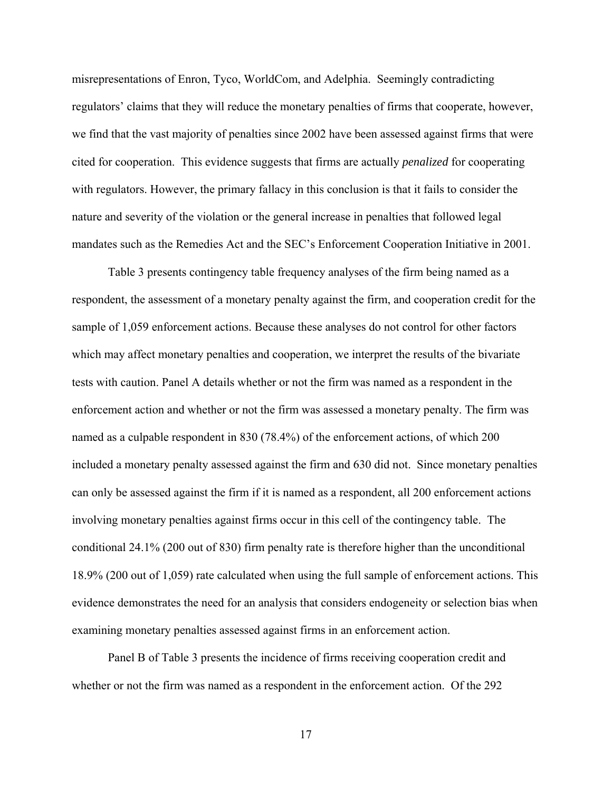misrepresentations of Enron, Tyco, WorldCom, and Adelphia. Seemingly contradicting regulators' claims that they will reduce the monetary penalties of firms that cooperate, however, we find that the vast majority of penalties since 2002 have been assessed against firms that were cited for cooperation. This evidence suggests that firms are actually *penalized* for cooperating with regulators. However, the primary fallacy in this conclusion is that it fails to consider the nature and severity of the violation or the general increase in penalties that followed legal mandates such as the Remedies Act and the SEC's Enforcement Cooperation Initiative in 2001.

Table 3 presents contingency table frequency analyses of the firm being named as a respondent, the assessment of a monetary penalty against the firm, and cooperation credit for the sample of 1,059 enforcement actions. Because these analyses do not control for other factors which may affect monetary penalties and cooperation, we interpret the results of the bivariate tests with caution. Panel A details whether or not the firm was named as a respondent in the enforcement action and whether or not the firm was assessed a monetary penalty. The firm was named as a culpable respondent in 830 (78.4%) of the enforcement actions, of which 200 included a monetary penalty assessed against the firm and 630 did not. Since monetary penalties can only be assessed against the firm if it is named as a respondent, all 200 enforcement actions involving monetary penalties against firms occur in this cell of the contingency table. The conditional 24.1% (200 out of 830) firm penalty rate is therefore higher than the unconditional 18.9% (200 out of 1,059) rate calculated when using the full sample of enforcement actions. This evidence demonstrates the need for an analysis that considers endogeneity or selection bias when examining monetary penalties assessed against firms in an enforcement action.

Panel B of Table 3 presents the incidence of firms receiving cooperation credit and whether or not the firm was named as a respondent in the enforcement action. Of the 292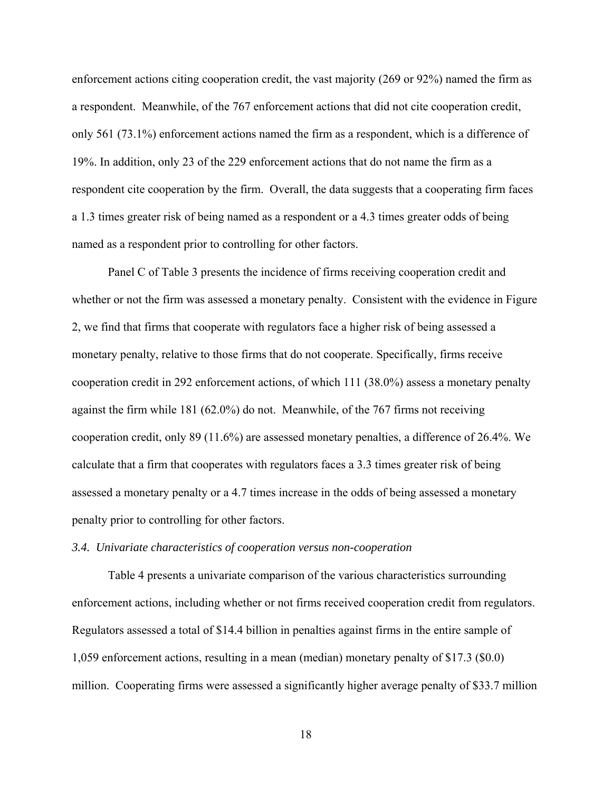enforcement actions citing cooperation credit, the vast majority (269 or 92%) named the firm as a respondent. Meanwhile, of the 767 enforcement actions that did not cite cooperation credit, only 561 (73.1%) enforcement actions named the firm as a respondent, which is a difference of 19%. In addition, only 23 of the 229 enforcement actions that do not name the firm as a respondent cite cooperation by the firm. Overall, the data suggests that a cooperating firm faces a 1.3 times greater risk of being named as a respondent or a 4.3 times greater odds of being named as a respondent prior to controlling for other factors.

Panel C of Table 3 presents the incidence of firms receiving cooperation credit and whether or not the firm was assessed a monetary penalty. Consistent with the evidence in Figure 2, we find that firms that cooperate with regulators face a higher risk of being assessed a monetary penalty, relative to those firms that do not cooperate. Specifically, firms receive cooperation credit in 292 enforcement actions, of which 111 (38.0%) assess a monetary penalty against the firm while 181 (62.0%) do not. Meanwhile, of the 767 firms not receiving cooperation credit, only 89 (11.6%) are assessed monetary penalties, a difference of 26.4%. We calculate that a firm that cooperates with regulators faces a 3.3 times greater risk of being assessed a monetary penalty or a 4.7 times increase in the odds of being assessed a monetary penalty prior to controlling for other factors.

#### *3.4. Univariate characteristics of cooperation versus non-cooperation*

 Table 4 presents a univariate comparison of the various characteristics surrounding enforcement actions, including whether or not firms received cooperation credit from regulators. Regulators assessed a total of \$14.4 billion in penalties against firms in the entire sample of 1,059 enforcement actions, resulting in a mean (median) monetary penalty of \$17.3 (\$0.0) million. Cooperating firms were assessed a significantly higher average penalty of \$33.7 million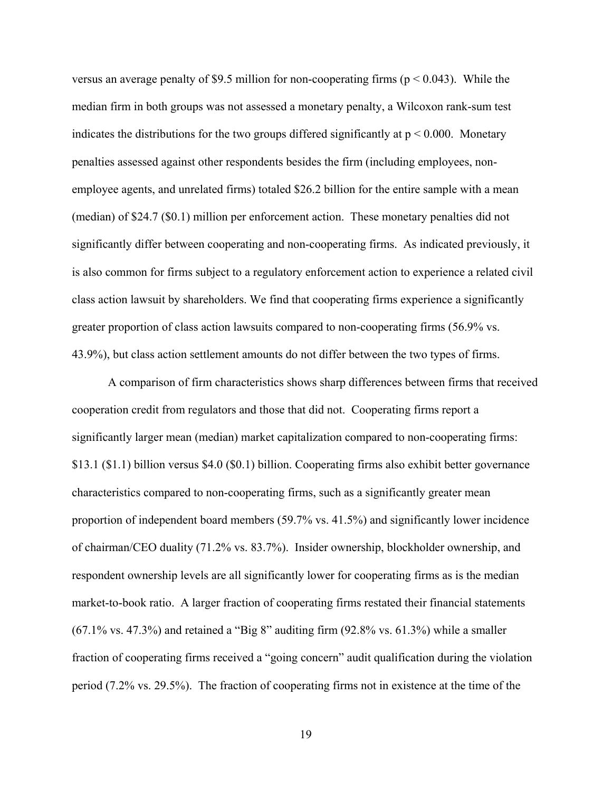versus an average penalty of \$9.5 million for non-cooperating firms ( $p < 0.043$ ). While the median firm in both groups was not assessed a monetary penalty, a Wilcoxon rank-sum test indicates the distributions for the two groups differed significantly at  $p \le 0.000$ . Monetary penalties assessed against other respondents besides the firm (including employees, nonemployee agents, and unrelated firms) totaled \$26.2 billion for the entire sample with a mean (median) of \$24.7 (\$0.1) million per enforcement action. These monetary penalties did not significantly differ between cooperating and non-cooperating firms. As indicated previously, it is also common for firms subject to a regulatory enforcement action to experience a related civil class action lawsuit by shareholders. We find that cooperating firms experience a significantly greater proportion of class action lawsuits compared to non-cooperating firms (56.9% vs. 43.9%), but class action settlement amounts do not differ between the two types of firms.

 A comparison of firm characteristics shows sharp differences between firms that received cooperation credit from regulators and those that did not. Cooperating firms report a significantly larger mean (median) market capitalization compared to non-cooperating firms: \$13.1 (\$1.1) billion versus \$4.0 (\$0.1) billion. Cooperating firms also exhibit better governance characteristics compared to non-cooperating firms, such as a significantly greater mean proportion of independent board members (59.7% vs. 41.5%) and significantly lower incidence of chairman/CEO duality (71.2% vs. 83.7%). Insider ownership, blockholder ownership, and respondent ownership levels are all significantly lower for cooperating firms as is the median market-to-book ratio. A larger fraction of cooperating firms restated their financial statements  $(67.1\% \text{ vs. } 47.3\%)$  and retained a "Big 8" auditing firm  $(92.8\% \text{ vs. } 61.3\%)$  while a smaller fraction of cooperating firms received a "going concern" audit qualification during the violation period (7.2% vs. 29.5%). The fraction of cooperating firms not in existence at the time of the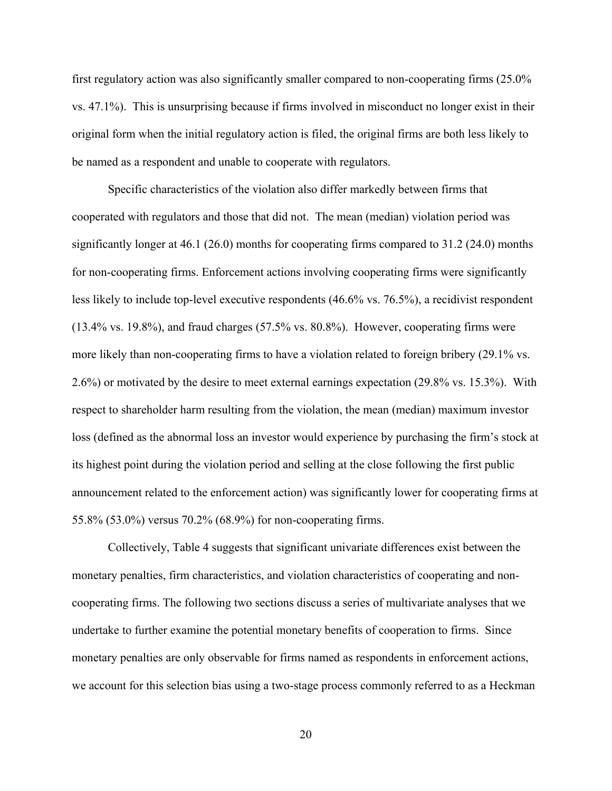first regulatory action was also significantly smaller compared to non-cooperating firms (25.0% vs. 47.1%). This is unsurprising because if firms involved in misconduct no longer exist in their original form when the initial regulatory action is filed, the original firms are both less likely to be named as a respondent and unable to cooperate with regulators.

Specific characteristics of the violation also differ markedly between firms that cooperated with regulators and those that did not. The mean (median) violation period was significantly longer at 46.1 (26.0) months for cooperating firms compared to 31.2 (24.0) months for non-cooperating firms. Enforcement actions involving cooperating firms were significantly less likely to include top-level executive respondents (46.6% vs. 76.5%), a recidivist respondent (13.4% vs. 19.8%), and fraud charges (57.5% vs. 80.8%). However, cooperating firms were more likely than non-cooperating firms to have a violation related to foreign bribery (29.1% vs. 2.6%) or motivated by the desire to meet external earnings expectation (29.8% vs. 15.3%). With respect to shareholder harm resulting from the violation, the mean (median) maximum investor loss (defined as the abnormal loss an investor would experience by purchasing the firm's stock at its highest point during the violation period and selling at the close following the first public announcement related to the enforcement action) was significantly lower for cooperating firms at 55.8% (53.0%) versus 70.2% (68.9%) for non-cooperating firms.

Collectively, Table 4 suggests that significant univariate differences exist between the monetary penalties, firm characteristics, and violation characteristics of cooperating and noncooperating firms. The following two sections discuss a series of multivariate analyses that we undertake to further examine the potential monetary benefits of cooperation to firms. Since monetary penalties are only observable for firms named as respondents in enforcement actions, we account for this selection bias using a two-stage process commonly referred to as a Heckman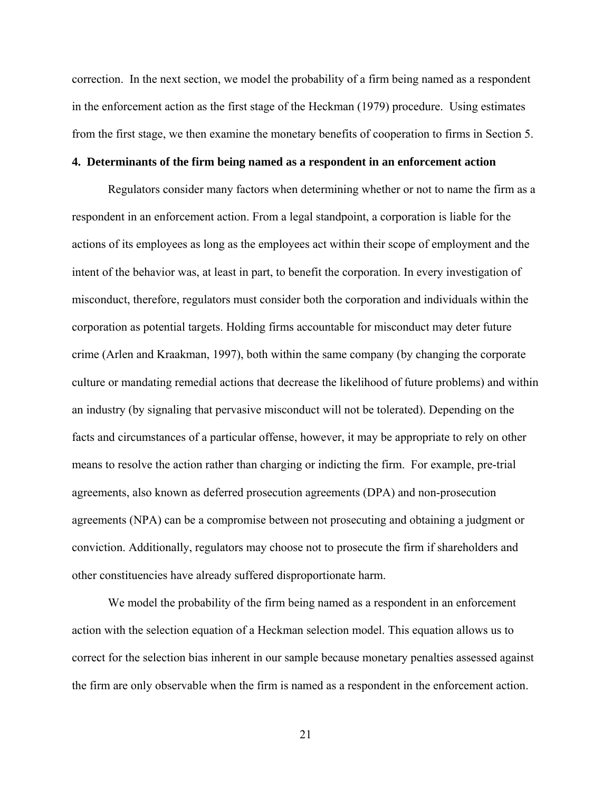correction. In the next section, we model the probability of a firm being named as a respondent in the enforcement action as the first stage of the Heckman (1979) procedure. Using estimates from the first stage, we then examine the monetary benefits of cooperation to firms in Section 5.

### **4. Determinants of the firm being named as a respondent in an enforcement action**

Regulators consider many factors when determining whether or not to name the firm as a respondent in an enforcement action. From a legal standpoint, a corporation is liable for the actions of its employees as long as the employees act within their scope of employment and the intent of the behavior was, at least in part, to benefit the corporation. In every investigation of misconduct, therefore, regulators must consider both the corporation and individuals within the corporation as potential targets. Holding firms accountable for misconduct may deter future crime (Arlen and Kraakman, 1997), both within the same company (by changing the corporate culture or mandating remedial actions that decrease the likelihood of future problems) and within an industry (by signaling that pervasive misconduct will not be tolerated). Depending on the facts and circumstances of a particular offense, however, it may be appropriate to rely on other means to resolve the action rather than charging or indicting the firm. For example, pre-trial agreements, also known as deferred prosecution agreements (DPA) and non-prosecution agreements (NPA) can be a compromise between not prosecuting and obtaining a judgment or conviction. Additionally, regulators may choose not to prosecute the firm if shareholders and other constituencies have already suffered disproportionate harm.

We model the probability of the firm being named as a respondent in an enforcement action with the selection equation of a Heckman selection model. This equation allows us to correct for the selection bias inherent in our sample because monetary penalties assessed against the firm are only observable when the firm is named as a respondent in the enforcement action.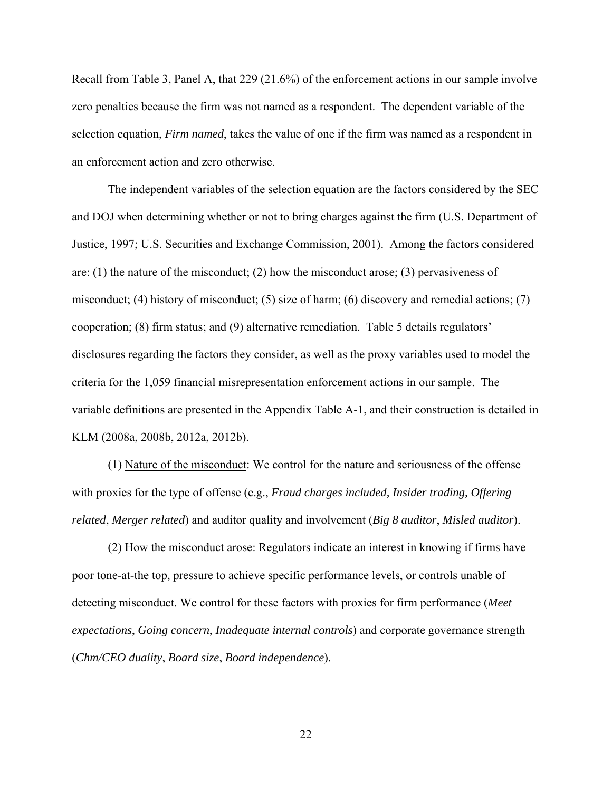Recall from Table 3, Panel A, that 229 (21.6%) of the enforcement actions in our sample involve zero penalties because the firm was not named as a respondent. The dependent variable of the selection equation, *Firm named*, takes the value of one if the firm was named as a respondent in an enforcement action and zero otherwise.

The independent variables of the selection equation are the factors considered by the SEC and DOJ when determining whether or not to bring charges against the firm (U.S. Department of Justice, 1997; U.S. Securities and Exchange Commission, 2001). Among the factors considered are: (1) the nature of the misconduct; (2) how the misconduct arose; (3) pervasiveness of misconduct; (4) history of misconduct; (5) size of harm; (6) discovery and remedial actions; (7) cooperation; (8) firm status; and (9) alternative remediation. Table 5 details regulators' disclosures regarding the factors they consider, as well as the proxy variables used to model the criteria for the 1,059 financial misrepresentation enforcement actions in our sample. The variable definitions are presented in the Appendix Table A-1, and their construction is detailed in KLM (2008a, 2008b, 2012a, 2012b).

(1) Nature of the misconduct: We control for the nature and seriousness of the offense with proxies for the type of offense (e.g., *Fraud charges included, Insider trading, Offering related*, *Merger related*) and auditor quality and involvement (*Big 8 auditor*, *Misled auditor*).

(2) How the misconduct arose: Regulators indicate an interest in knowing if firms have poor tone-at-the top, pressure to achieve specific performance levels, or controls unable of detecting misconduct. We control for these factors with proxies for firm performance (*Meet expectations*, *Going concern*, *Inadequate internal controls*) and corporate governance strength (*Chm/CEO duality*, *Board size*, *Board independence*).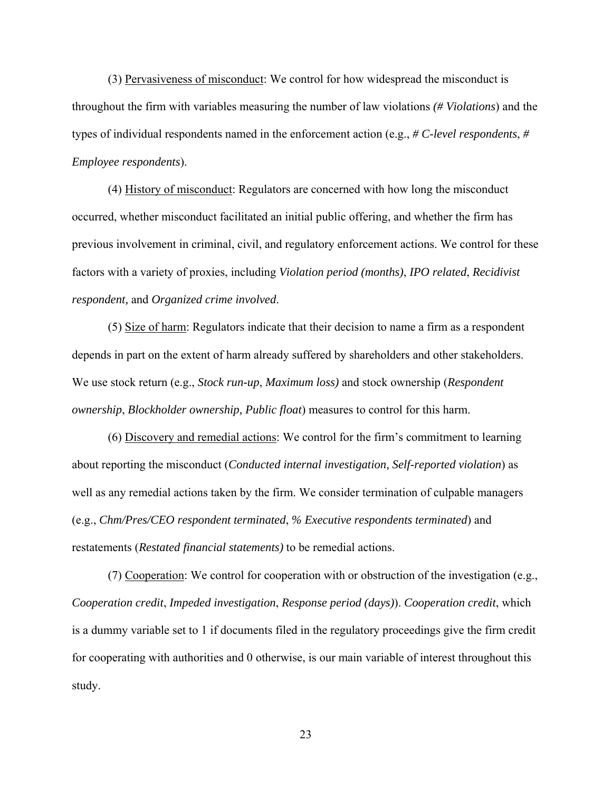(3) Pervasiveness of misconduct: We control for how widespread the misconduct is throughout the firm with variables measuring the number of law violations *(# Violations*) and the types of individual respondents named in the enforcement action (e.g., *# C-level respondents*, *# Employee respondents*).

(4) History of misconduct: Regulators are concerned with how long the misconduct occurred, whether misconduct facilitated an initial public offering, and whether the firm has previous involvement in criminal, civil, and regulatory enforcement actions. We control for these factors with a variety of proxies, including *Violation period (months)*, *IPO related*, *Recidivist respondent,* and *Organized crime involved*.

(5) Size of harm: Regulators indicate that their decision to name a firm as a respondent depends in part on the extent of harm already suffered by shareholders and other stakeholders. We use stock return (e.g., *Stock run-up*, *Maximum loss)* and stock ownership (*Respondent ownership*, *Blockholder ownership, Public float*) measures to control for this harm.

(6) Discovery and remedial actions: We control for the firm's commitment to learning about reporting the misconduct (*Conducted internal investigation, Self-reported violation*) as well as any remedial actions taken by the firm. We consider termination of culpable managers (e.g., *Chm/Pres/CEO respondent terminated*, *% Executive respondents terminated*) and restatements (*Restated financial statements)* to be remedial actions.

(7) Cooperation: We control for cooperation with or obstruction of the investigation (e.g., *Cooperation credit*, *Impeded investigation*, *Response period (days)*). *Cooperation credit*, which is a dummy variable set to 1 if documents filed in the regulatory proceedings give the firm credit for cooperating with authorities and 0 otherwise, is our main variable of interest throughout this study.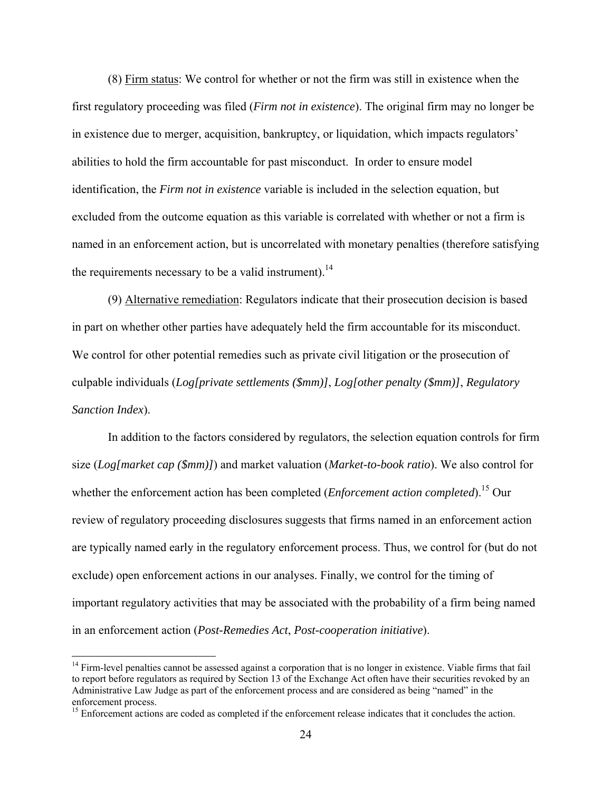(8) Firm status: We control for whether or not the firm was still in existence when the first regulatory proceeding was filed (*Firm not in existence*). The original firm may no longer be in existence due to merger, acquisition, bankruptcy, or liquidation, which impacts regulators' abilities to hold the firm accountable for past misconduct. In order to ensure model identification, the *Firm not in existence* variable is included in the selection equation, but excluded from the outcome equation as this variable is correlated with whether or not a firm is named in an enforcement action, but is uncorrelated with monetary penalties (therefore satisfying the requirements necessary to be a valid instrument).<sup>14</sup>

(9) Alternative remediation: Regulators indicate that their prosecution decision is based in part on whether other parties have adequately held the firm accountable for its misconduct. We control for other potential remedies such as private civil litigation or the prosecution of culpable individuals (*Log[private settlements (\$mm)]*, *Log[other penalty (\$mm)]*, *Regulatory Sanction Index*).

In addition to the factors considered by regulators, the selection equation controls for firm size (*Log[market cap (\$mm)]*) and market valuation (*Market-to-book ratio*). We also control for whether the enforcement action has been completed (*Enforcement action completed*).<sup>15</sup> Our review of regulatory proceeding disclosures suggests that firms named in an enforcement action are typically named early in the regulatory enforcement process. Thus, we control for (but do not exclude) open enforcement actions in our analyses. Finally, we control for the timing of important regulatory activities that may be associated with the probability of a firm being named in an enforcement action (*Post-Remedies Act*, *Post-cooperation initiative*).

 $14$  Firm-level penalties cannot be assessed against a corporation that is no longer in existence. Viable firms that fail to report before regulators as required by Section 13 of the Exchange Act often have their securities revoked by an Administrative Law Judge as part of the enforcement process and are considered as being "named" in the enforcement process.

<sup>&</sup>lt;sup>15</sup> Enforcement actions are coded as completed if the enforcement release indicates that it concludes the action.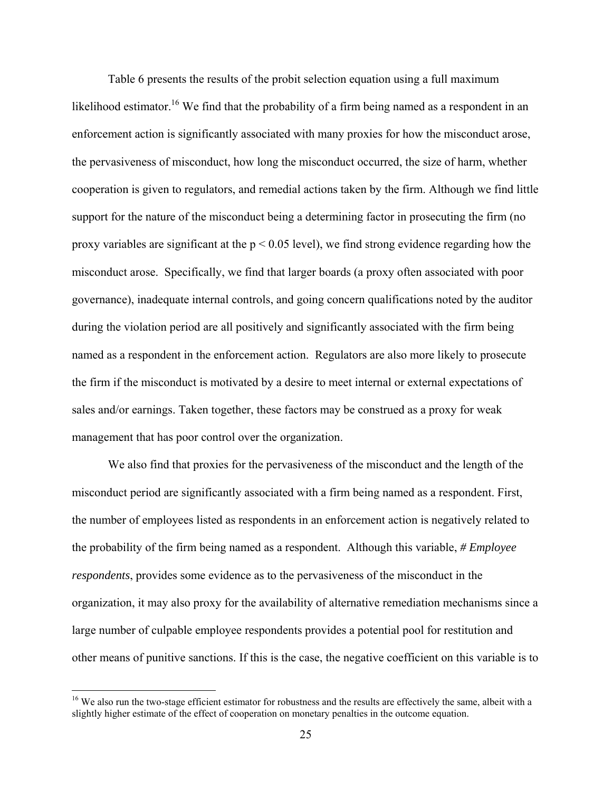Table 6 presents the results of the probit selection equation using a full maximum likelihood estimator.<sup>16</sup> We find that the probability of a firm being named as a respondent in an enforcement action is significantly associated with many proxies for how the misconduct arose, the pervasiveness of misconduct, how long the misconduct occurred, the size of harm, whether cooperation is given to regulators, and remedial actions taken by the firm. Although we find little support for the nature of the misconduct being a determining factor in prosecuting the firm (no proxy variables are significant at the  $p < 0.05$  level), we find strong evidence regarding how the misconduct arose. Specifically, we find that larger boards (a proxy often associated with poor governance), inadequate internal controls, and going concern qualifications noted by the auditor during the violation period are all positively and significantly associated with the firm being named as a respondent in the enforcement action. Regulators are also more likely to prosecute the firm if the misconduct is motivated by a desire to meet internal or external expectations of sales and/or earnings. Taken together, these factors may be construed as a proxy for weak management that has poor control over the organization.

We also find that proxies for the pervasiveness of the misconduct and the length of the misconduct period are significantly associated with a firm being named as a respondent. First, the number of employees listed as respondents in an enforcement action is negatively related to the probability of the firm being named as a respondent. Although this variable, *# Employee respondents*, provides some evidence as to the pervasiveness of the misconduct in the organization, it may also proxy for the availability of alternative remediation mechanisms since a large number of culpable employee respondents provides a potential pool for restitution and other means of punitive sanctions. If this is the case, the negative coefficient on this variable is to

<sup>&</sup>lt;sup>16</sup> We also run the two-stage efficient estimator for robustness and the results are effectively the same, albeit with a slightly higher estimate of the effect of cooperation on monetary penalties in the outcome equation.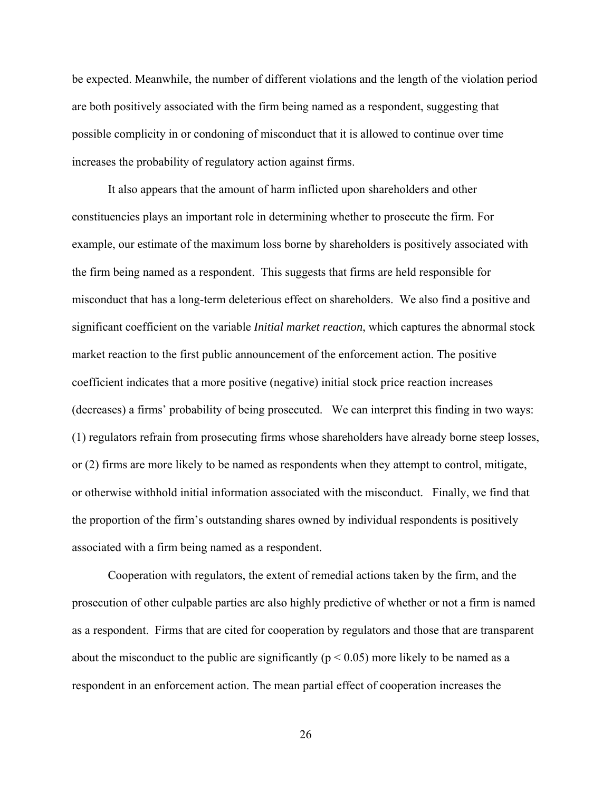be expected. Meanwhile, the number of different violations and the length of the violation period are both positively associated with the firm being named as a respondent, suggesting that possible complicity in or condoning of misconduct that it is allowed to continue over time increases the probability of regulatory action against firms.

It also appears that the amount of harm inflicted upon shareholders and other constituencies plays an important role in determining whether to prosecute the firm. For example, our estimate of the maximum loss borne by shareholders is positively associated with the firm being named as a respondent. This suggests that firms are held responsible for misconduct that has a long-term deleterious effect on shareholders. We also find a positive and significant coefficient on the variable *Initial market reaction*, which captures the abnormal stock market reaction to the first public announcement of the enforcement action. The positive coefficient indicates that a more positive (negative) initial stock price reaction increases (decreases) a firms' probability of being prosecuted. We can interpret this finding in two ways: (1) regulators refrain from prosecuting firms whose shareholders have already borne steep losses, or (2) firms are more likely to be named as respondents when they attempt to control, mitigate, or otherwise withhold initial information associated with the misconduct. Finally, we find that the proportion of the firm's outstanding shares owned by individual respondents is positively associated with a firm being named as a respondent.

Cooperation with regulators, the extent of remedial actions taken by the firm, and the prosecution of other culpable parties are also highly predictive of whether or not a firm is named as a respondent. Firms that are cited for cooperation by regulators and those that are transparent about the misconduct to the public are significantly ( $p < 0.05$ ) more likely to be named as a respondent in an enforcement action. The mean partial effect of cooperation increases the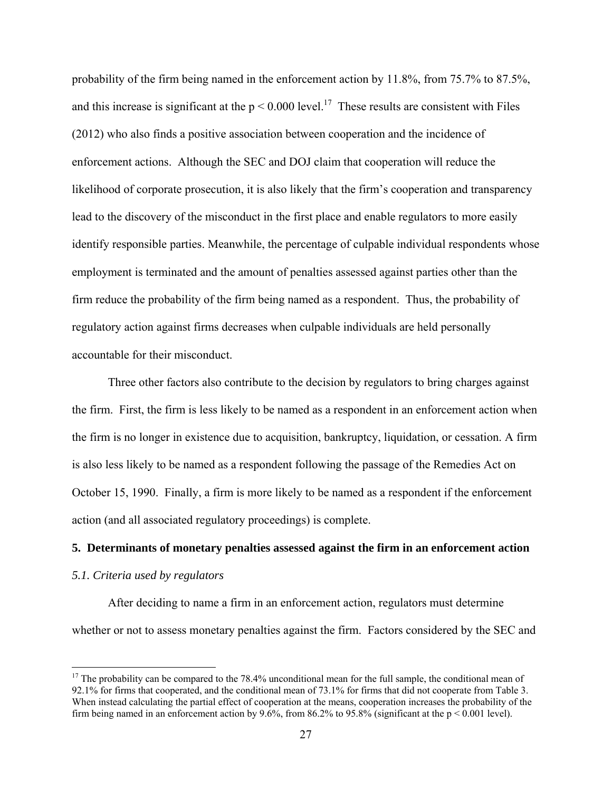probability of the firm being named in the enforcement action by 11.8%, from 75.7% to 87.5%, and this increase is significant at the  $p \le 0.000$  level.<sup>17</sup> These results are consistent with Files (2012) who also finds a positive association between cooperation and the incidence of enforcement actions. Although the SEC and DOJ claim that cooperation will reduce the likelihood of corporate prosecution, it is also likely that the firm's cooperation and transparency lead to the discovery of the misconduct in the first place and enable regulators to more easily identify responsible parties. Meanwhile, the percentage of culpable individual respondents whose employment is terminated and the amount of penalties assessed against parties other than the firm reduce the probability of the firm being named as a respondent. Thus, the probability of regulatory action against firms decreases when culpable individuals are held personally accountable for their misconduct.

Three other factors also contribute to the decision by regulators to bring charges against the firm. First, the firm is less likely to be named as a respondent in an enforcement action when the firm is no longer in existence due to acquisition, bankruptcy, liquidation, or cessation. A firm is also less likely to be named as a respondent following the passage of the Remedies Act on October 15, 1990. Finally, a firm is more likely to be named as a respondent if the enforcement action (and all associated regulatory proceedings) is complete.

#### **5. Determinants of monetary penalties assessed against the firm in an enforcement action**

#### *5.1. Criteria used by regulators*

 $\overline{a}$ 

 After deciding to name a firm in an enforcement action, regulators must determine whether or not to assess monetary penalties against the firm. Factors considered by the SEC and

 $17$  The probability can be compared to the 78.4% unconditional mean for the full sample, the conditional mean of 92.1% for firms that cooperated, and the conditional mean of 73.1% for firms that did not cooperate from Table 3. When instead calculating the partial effect of cooperation at the means, cooperation increases the probability of the firm being named in an enforcement action by 9.6%, from 86.2% to 95.8% (significant at the  $p < 0.001$  level).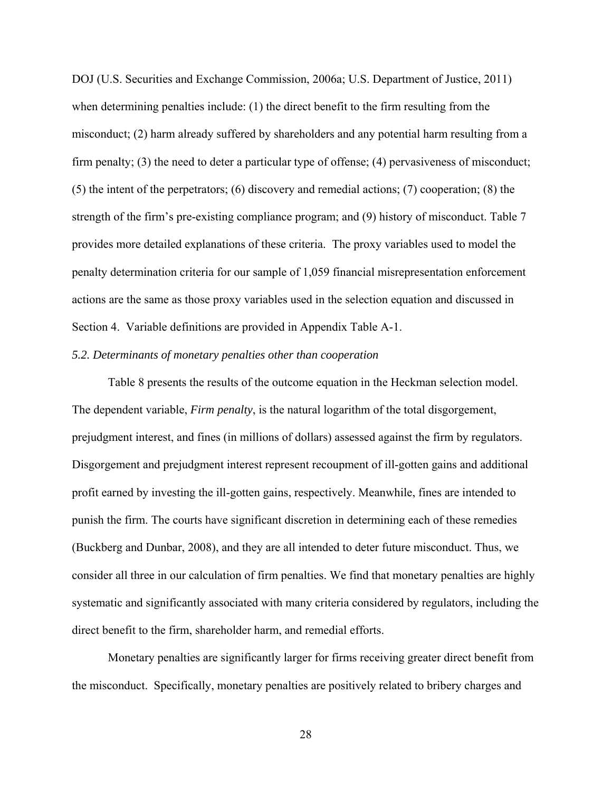DOJ (U.S. Securities and Exchange Commission, 2006a; U.S. Department of Justice, 2011) when determining penalties include: (1) the direct benefit to the firm resulting from the misconduct; (2) harm already suffered by shareholders and any potential harm resulting from a firm penalty; (3) the need to deter a particular type of offense; (4) pervasiveness of misconduct; (5) the intent of the perpetrators; (6) discovery and remedial actions; (7) cooperation; (8) the strength of the firm's pre-existing compliance program; and (9) history of misconduct. Table 7 provides more detailed explanations of these criteria. The proxy variables used to model the penalty determination criteria for our sample of 1,059 financial misrepresentation enforcement actions are the same as those proxy variables used in the selection equation and discussed in Section 4. Variable definitions are provided in Appendix Table A-1.

#### *5.2. Determinants of monetary penalties other than cooperation*

 Table 8 presents the results of the outcome equation in the Heckman selection model. The dependent variable, *Firm penalty*, is the natural logarithm of the total disgorgement, prejudgment interest, and fines (in millions of dollars) assessed against the firm by regulators. Disgorgement and prejudgment interest represent recoupment of ill-gotten gains and additional profit earned by investing the ill-gotten gains, respectively. Meanwhile, fines are intended to punish the firm. The courts have significant discretion in determining each of these remedies (Buckberg and Dunbar, 2008), and they are all intended to deter future misconduct. Thus, we consider all three in our calculation of firm penalties. We find that monetary penalties are highly systematic and significantly associated with many criteria considered by regulators, including the direct benefit to the firm, shareholder harm, and remedial efforts.

 Monetary penalties are significantly larger for firms receiving greater direct benefit from the misconduct. Specifically, monetary penalties are positively related to bribery charges and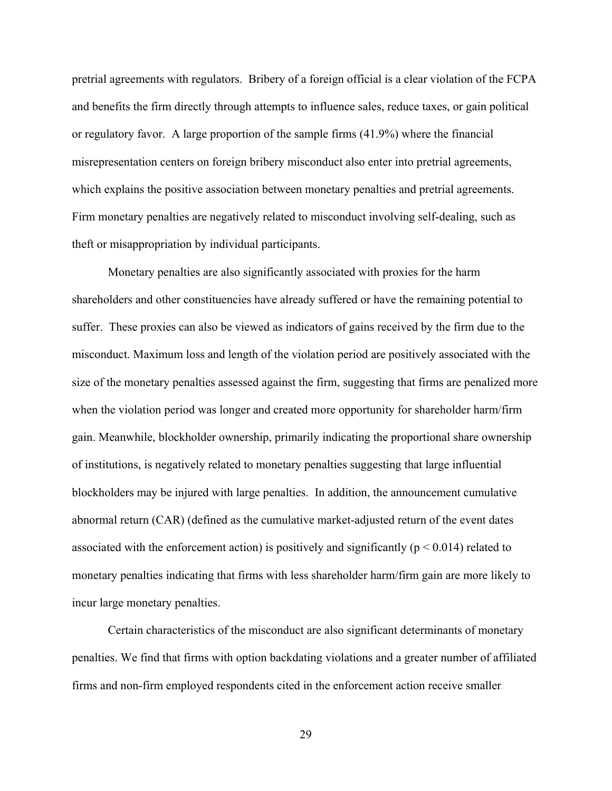pretrial agreements with regulators. Bribery of a foreign official is a clear violation of the FCPA and benefits the firm directly through attempts to influence sales, reduce taxes, or gain political or regulatory favor. A large proportion of the sample firms (41.9%) where the financial misrepresentation centers on foreign bribery misconduct also enter into pretrial agreements, which explains the positive association between monetary penalties and pretrial agreements. Firm monetary penalties are negatively related to misconduct involving self-dealing, such as theft or misappropriation by individual participants.

Monetary penalties are also significantly associated with proxies for the harm shareholders and other constituencies have already suffered or have the remaining potential to suffer. These proxies can also be viewed as indicators of gains received by the firm due to the misconduct. Maximum loss and length of the violation period are positively associated with the size of the monetary penalties assessed against the firm, suggesting that firms are penalized more when the violation period was longer and created more opportunity for shareholder harm/firm gain. Meanwhile, blockholder ownership, primarily indicating the proportional share ownership of institutions, is negatively related to monetary penalties suggesting that large influential blockholders may be injured with large penalties. In addition, the announcement cumulative abnormal return (CAR) (defined as the cumulative market-adjusted return of the event dates associated with the enforcement action) is positively and significantly ( $p < 0.014$ ) related to monetary penalties indicating that firms with less shareholder harm/firm gain are more likely to incur large monetary penalties.

Certain characteristics of the misconduct are also significant determinants of monetary penalties. We find that firms with option backdating violations and a greater number of affiliated firms and non-firm employed respondents cited in the enforcement action receive smaller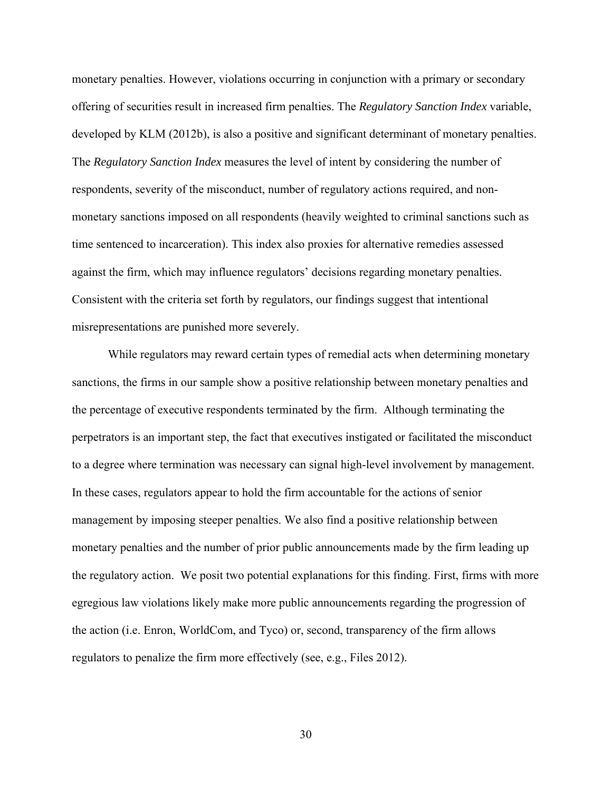monetary penalties. However, violations occurring in conjunction with a primary or secondary offering of securities result in increased firm penalties. The *Regulatory Sanction Index* variable, developed by KLM (2012b), is also a positive and significant determinant of monetary penalties. The *Regulatory Sanction Index* measures the level of intent by considering the number of respondents, severity of the misconduct, number of regulatory actions required, and nonmonetary sanctions imposed on all respondents (heavily weighted to criminal sanctions such as time sentenced to incarceration). This index also proxies for alternative remedies assessed against the firm, which may influence regulators' decisions regarding monetary penalties. Consistent with the criteria set forth by regulators, our findings suggest that intentional misrepresentations are punished more severely.

 While regulators may reward certain types of remedial acts when determining monetary sanctions, the firms in our sample show a positive relationship between monetary penalties and the percentage of executive respondents terminated by the firm. Although terminating the perpetrators is an important step, the fact that executives instigated or facilitated the misconduct to a degree where termination was necessary can signal high-level involvement by management. In these cases, regulators appear to hold the firm accountable for the actions of senior management by imposing steeper penalties. We also find a positive relationship between monetary penalties and the number of prior public announcements made by the firm leading up the regulatory action. We posit two potential explanations for this finding. First, firms with more egregious law violations likely make more public announcements regarding the progression of the action (i.e. Enron, WorldCom, and Tyco) or, second, transparency of the firm allows regulators to penalize the firm more effectively (see, e.g., Files 2012).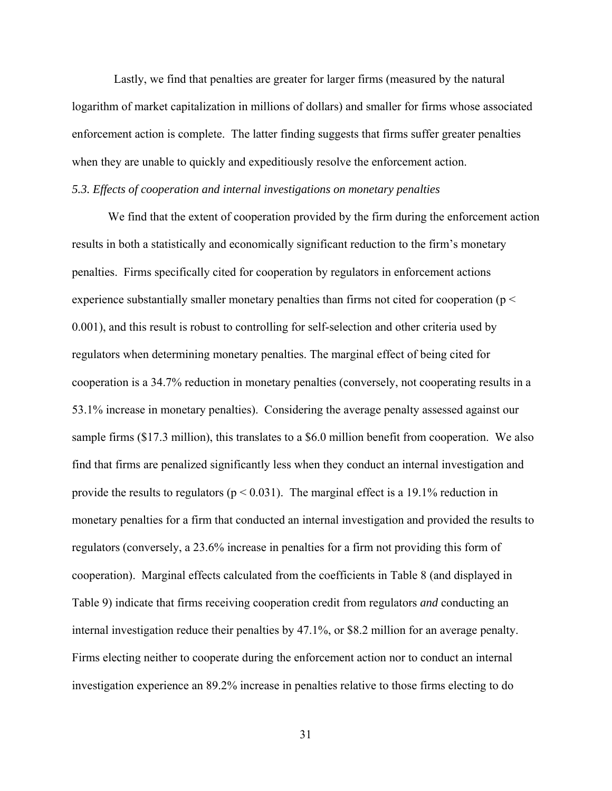Lastly, we find that penalties are greater for larger firms (measured by the natural logarithm of market capitalization in millions of dollars) and smaller for firms whose associated enforcement action is complete. The latter finding suggests that firms suffer greater penalties when they are unable to quickly and expeditiously resolve the enforcement action.

## *5.3. Effects of cooperation and internal investigations on monetary penalties*

 We find that the extent of cooperation provided by the firm during the enforcement action results in both a statistically and economically significant reduction to the firm's monetary penalties. Firms specifically cited for cooperation by regulators in enforcement actions experience substantially smaller monetary penalties than firms not cited for cooperation ( $p <$ 0.001), and this result is robust to controlling for self-selection and other criteria used by regulators when determining monetary penalties. The marginal effect of being cited for cooperation is a 34.7% reduction in monetary penalties (conversely, not cooperating results in a 53.1% increase in monetary penalties). Considering the average penalty assessed against our sample firms (\$17.3 million), this translates to a \$6.0 million benefit from cooperation. We also find that firms are penalized significantly less when they conduct an internal investigation and provide the results to regulators ( $p < 0.031$ ). The marginal effect is a 19.1% reduction in monetary penalties for a firm that conducted an internal investigation and provided the results to regulators (conversely, a 23.6% increase in penalties for a firm not providing this form of cooperation). Marginal effects calculated from the coefficients in Table 8 (and displayed in Table 9) indicate that firms receiving cooperation credit from regulators *and* conducting an internal investigation reduce their penalties by 47.1%, or \$8.2 million for an average penalty. Firms electing neither to cooperate during the enforcement action nor to conduct an internal investigation experience an 89.2% increase in penalties relative to those firms electing to do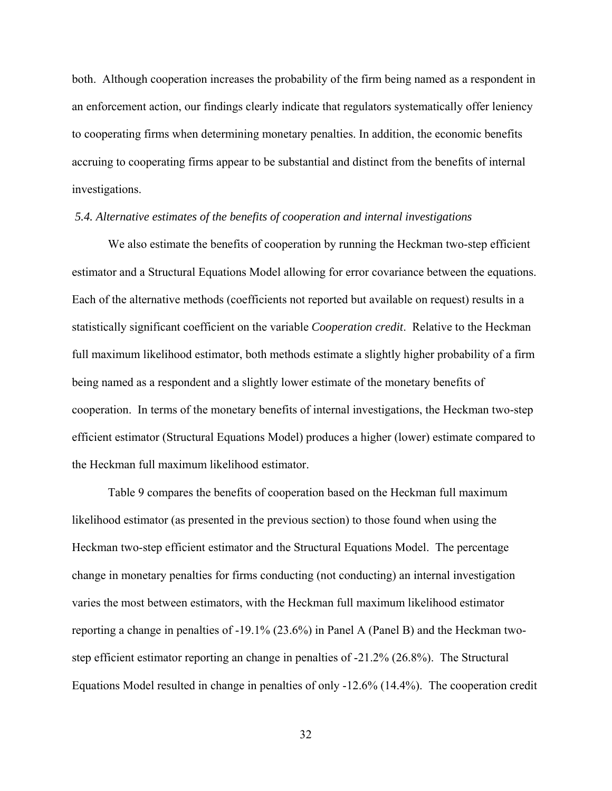both. Although cooperation increases the probability of the firm being named as a respondent in an enforcement action, our findings clearly indicate that regulators systematically offer leniency to cooperating firms when determining monetary penalties. In addition, the economic benefits accruing to cooperating firms appear to be substantial and distinct from the benefits of internal investigations.

#### *5.4. Alternative estimates of the benefits of cooperation and internal investigations*

 We also estimate the benefits of cooperation by running the Heckman two-step efficient estimator and a Structural Equations Model allowing for error covariance between the equations. Each of the alternative methods (coefficients not reported but available on request) results in a statistically significant coefficient on the variable *Cooperation credit*. Relative to the Heckman full maximum likelihood estimator, both methods estimate a slightly higher probability of a firm being named as a respondent and a slightly lower estimate of the monetary benefits of cooperation. In terms of the monetary benefits of internal investigations, the Heckman two-step efficient estimator (Structural Equations Model) produces a higher (lower) estimate compared to the Heckman full maximum likelihood estimator.

Table 9 compares the benefits of cooperation based on the Heckman full maximum likelihood estimator (as presented in the previous section) to those found when using the Heckman two-step efficient estimator and the Structural Equations Model. The percentage change in monetary penalties for firms conducting (not conducting) an internal investigation varies the most between estimators, with the Heckman full maximum likelihood estimator reporting a change in penalties of -19.1% (23.6%) in Panel A (Panel B) and the Heckman twostep efficient estimator reporting an change in penalties of -21.2% (26.8%). The Structural Equations Model resulted in change in penalties of only -12.6% (14.4%). The cooperation credit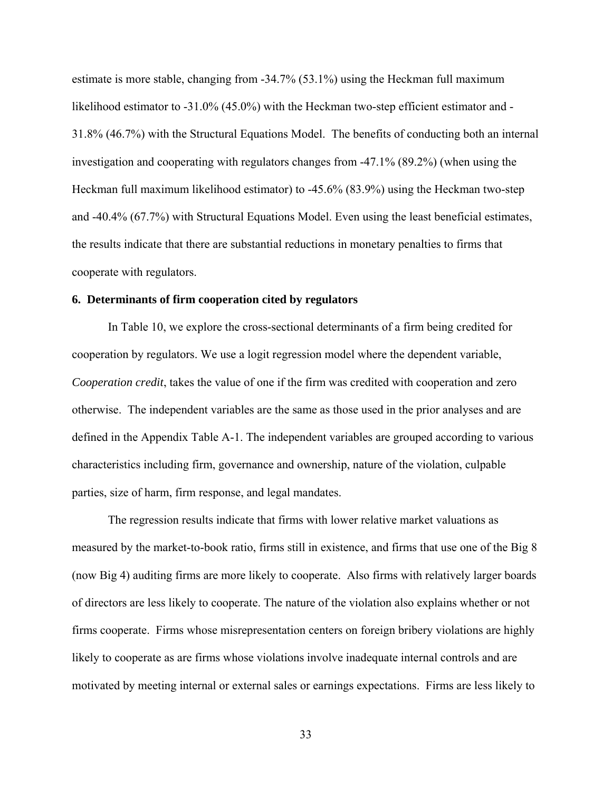estimate is more stable, changing from -34.7% (53.1%) using the Heckman full maximum likelihood estimator to -31.0% (45.0%) with the Heckman two-step efficient estimator and -31.8% (46.7%) with the Structural Equations Model. The benefits of conducting both an internal investigation and cooperating with regulators changes from -47.1% (89.2%) (when using the Heckman full maximum likelihood estimator) to -45.6% (83.9%) using the Heckman two-step and -40.4% (67.7%) with Structural Equations Model. Even using the least beneficial estimates, the results indicate that there are substantial reductions in monetary penalties to firms that cooperate with regulators.

#### **6. Determinants of firm cooperation cited by regulators**

 In Table 10, we explore the cross-sectional determinants of a firm being credited for cooperation by regulators. We use a logit regression model where the dependent variable, *Cooperation credit*, takes the value of one if the firm was credited with cooperation and zero otherwise. The independent variables are the same as those used in the prior analyses and are defined in the Appendix Table A-1. The independent variables are grouped according to various characteristics including firm, governance and ownership, nature of the violation, culpable parties, size of harm, firm response, and legal mandates.

The regression results indicate that firms with lower relative market valuations as measured by the market-to-book ratio, firms still in existence, and firms that use one of the Big 8 (now Big 4) auditing firms are more likely to cooperate. Also firms with relatively larger boards of directors are less likely to cooperate. The nature of the violation also explains whether or not firms cooperate. Firms whose misrepresentation centers on foreign bribery violations are highly likely to cooperate as are firms whose violations involve inadequate internal controls and are motivated by meeting internal or external sales or earnings expectations. Firms are less likely to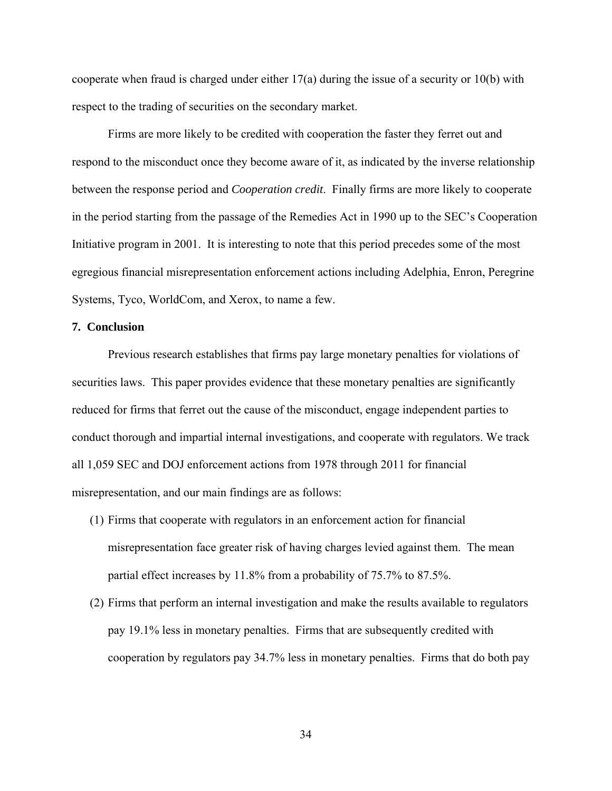cooperate when fraud is charged under either 17(a) during the issue of a security or 10(b) with respect to the trading of securities on the secondary market.

 Firms are more likely to be credited with cooperation the faster they ferret out and respond to the misconduct once they become aware of it, as indicated by the inverse relationship between the response period and *Cooperation credit*. Finally firms are more likely to cooperate in the period starting from the passage of the Remedies Act in 1990 up to the SEC's Cooperation Initiative program in 2001. It is interesting to note that this period precedes some of the most egregious financial misrepresentation enforcement actions including Adelphia, Enron, Peregrine Systems, Tyco, WorldCom, and Xerox, to name a few.

#### **7. Conclusion**

Previous research establishes that firms pay large monetary penalties for violations of securities laws. This paper provides evidence that these monetary penalties are significantly reduced for firms that ferret out the cause of the misconduct, engage independent parties to conduct thorough and impartial internal investigations, and cooperate with regulators. We track all 1,059 SEC and DOJ enforcement actions from 1978 through 2011 for financial misrepresentation, and our main findings are as follows:

- (1) Firms that cooperate with regulators in an enforcement action for financial misrepresentation face greater risk of having charges levied against them. The mean partial effect increases by 11.8% from a probability of 75.7% to 87.5%.
- (2) Firms that perform an internal investigation and make the results available to regulators pay 19.1% less in monetary penalties. Firms that are subsequently credited with cooperation by regulators pay 34.7% less in monetary penalties. Firms that do both pay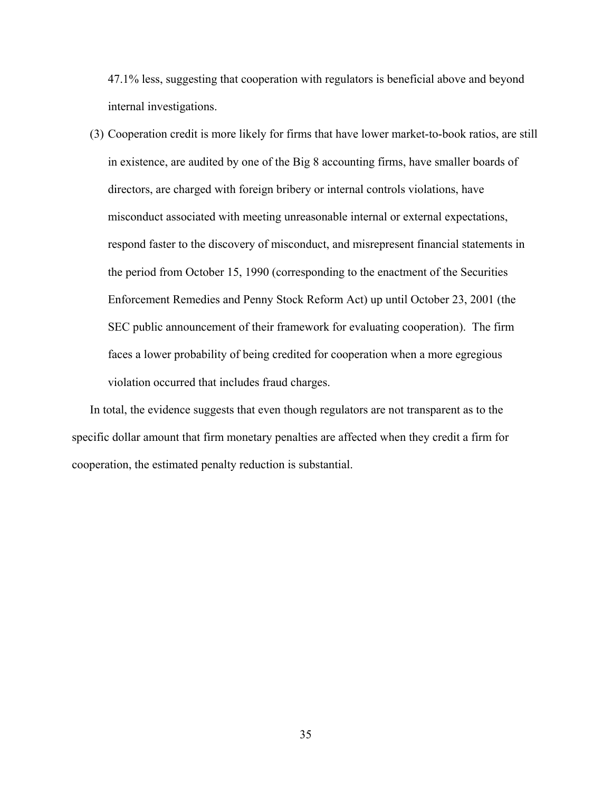47.1% less, suggesting that cooperation with regulators is beneficial above and beyond internal investigations.

(3) Cooperation credit is more likely for firms that have lower market-to-book ratios, are still in existence, are audited by one of the Big 8 accounting firms, have smaller boards of directors, are charged with foreign bribery or internal controls violations, have misconduct associated with meeting unreasonable internal or external expectations, respond faster to the discovery of misconduct, and misrepresent financial statements in the period from October 15, 1990 (corresponding to the enactment of the Securities Enforcement Remedies and Penny Stock Reform Act) up until October 23, 2001 (the SEC public announcement of their framework for evaluating cooperation). The firm faces a lower probability of being credited for cooperation when a more egregious violation occurred that includes fraud charges.

In total, the evidence suggests that even though regulators are not transparent as to the specific dollar amount that firm monetary penalties are affected when they credit a firm for cooperation, the estimated penalty reduction is substantial.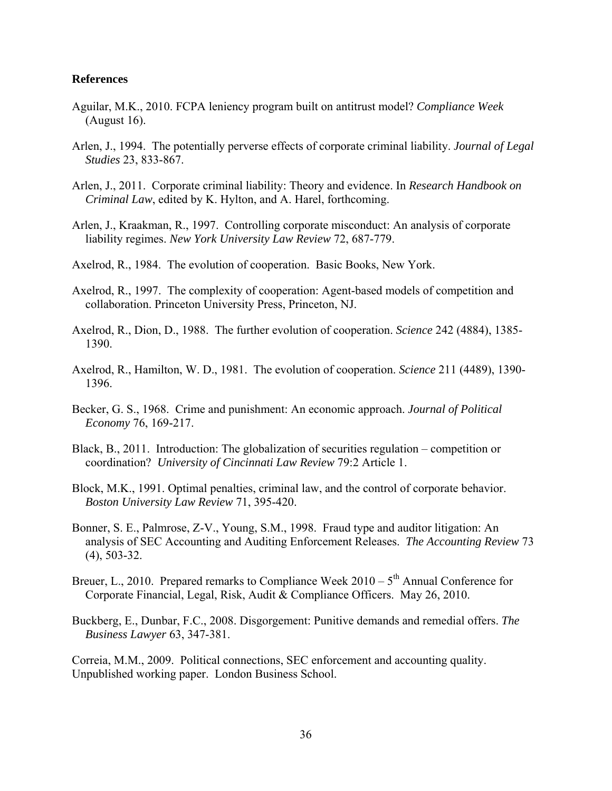#### **References**

- Aguilar, M.K., 2010. FCPA leniency program built on antitrust model? *Compliance Week* (August 16).
- Arlen, J., 1994. The potentially perverse effects of corporate criminal liability. *Journal of Legal Studies* 23, 833-867.
- Arlen, J., 2011. Corporate criminal liability: Theory and evidence. In *Research Handbook on Criminal Law*, edited by K. Hylton, and A. Harel, forthcoming.
- Arlen, J., Kraakman, R., 1997. Controlling corporate misconduct: An analysis of corporate liability regimes. *New York University Law Review* 72, 687-779.
- Axelrod, R., 1984. The evolution of cooperation. Basic Books, New York.
- Axelrod, R., 1997. The complexity of cooperation: Agent-based models of competition and collaboration. Princeton University Press, Princeton, NJ.
- Axelrod, R., Dion, D., 1988. The further evolution of cooperation. *Science* 242 (4884), 1385- 1390.
- Axelrod, R., Hamilton, W. D., 1981. The evolution of cooperation. *Science* 211 (4489), 1390- 1396.
- Becker, G. S., 1968. Crime and punishment: An economic approach. *Journal of Political Economy* 76, 169-217.
- Black, B., 2011. Introduction: The globalization of securities regulation competition or coordination? *University of Cincinnati Law Review* 79:2 Article 1.
- Block, M.K., 1991. Optimal penalties, criminal law, and the control of corporate behavior. *Boston University Law Review* 71, 395-420.
- Bonner, S. E., Palmrose, Z-V., Young, S.M., 1998. Fraud type and auditor litigation: An analysis of SEC Accounting and Auditing Enforcement Releases. *The Accounting Review* 73 (4), 503-32.
- Breuer, L., 2010. Prepared remarks to Compliance Week  $2010 5$ <sup>th</sup> Annual Conference for Corporate Financial, Legal, Risk, Audit & Compliance Officers. May 26, 2010.

Buckberg, E., Dunbar, F.C., 2008. Disgorgement: Punitive demands and remedial offers. *The Business Lawyer* 63, 347-381.

Correia, M.M., 2009. Political connections, SEC enforcement and accounting quality. Unpublished working paper. London Business School.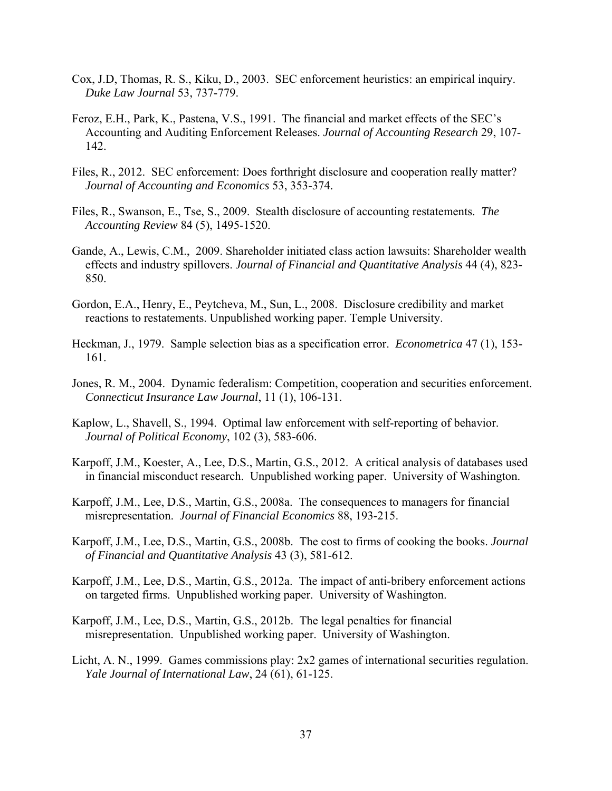- Cox, J.D, Thomas, R. S., Kiku, D., 2003. SEC enforcement heuristics: an empirical inquiry. *Duke Law Journal* 53, 737-779.
- Feroz, E.H., Park, K., Pastena, V.S., 1991. The financial and market effects of the SEC's Accounting and Auditing Enforcement Releases. *Journal of Accounting Research* 29, 107- 142.
- Files, R., 2012. SEC enforcement: Does forthright disclosure and cooperation really matter? *Journal of Accounting and Economics* 53, 353-374.
- Files, R., Swanson, E., Tse, S., 2009. Stealth disclosure of accounting restatements. *The Accounting Review* 84 (5), 1495-1520.
- Gande, A., Lewis, C.M., 2009. Shareholder initiated class action lawsuits: Shareholder wealth effects and industry spillovers. *Journal of Financial and Quantitative Analysis* 44 (4), 823- 850.
- Gordon, E.A., Henry, E., Peytcheva, M., Sun, L., 2008. Disclosure credibility and market reactions to restatements. Unpublished working paper. Temple University.
- Heckman, J., 1979. Sample selection bias as a specification error. *Econometrica* 47 (1), 153- 161.
- Jones, R. M., 2004. Dynamic federalism: Competition, cooperation and securities enforcement. *Connecticut Insurance Law Journal*, 11 (1), 106-131.
- Kaplow, L., Shavell, S., 1994. Optimal law enforcement with self-reporting of behavior. *Journal of Political Economy*, 102 (3), 583-606.
- Karpoff, J.M., Koester, A., Lee, D.S., Martin, G.S., 2012. A critical analysis of databases used in financial misconduct research. Unpublished working paper. University of Washington.
- Karpoff, J.M., Lee, D.S., Martin, G.S., 2008a. The consequences to managers for financial misrepresentation. *Journal of Financial Economics* 88, 193-215.
- Karpoff, J.M., Lee, D.S., Martin, G.S., 2008b. The cost to firms of cooking the books. *Journal of Financial and Quantitative Analysis* 43 (3), 581-612.
- Karpoff, J.M., Lee, D.S., Martin, G.S., 2012a. The impact of anti-bribery enforcement actions on targeted firms. Unpublished working paper. University of Washington.
- Karpoff, J.M., Lee, D.S., Martin, G.S., 2012b. The legal penalties for financial misrepresentation. Unpublished working paper. University of Washington.
- Licht, A. N., 1999. Games commissions play: 2x2 games of international securities regulation. *Yale Journal of International Law*, 24 (61), 61-125.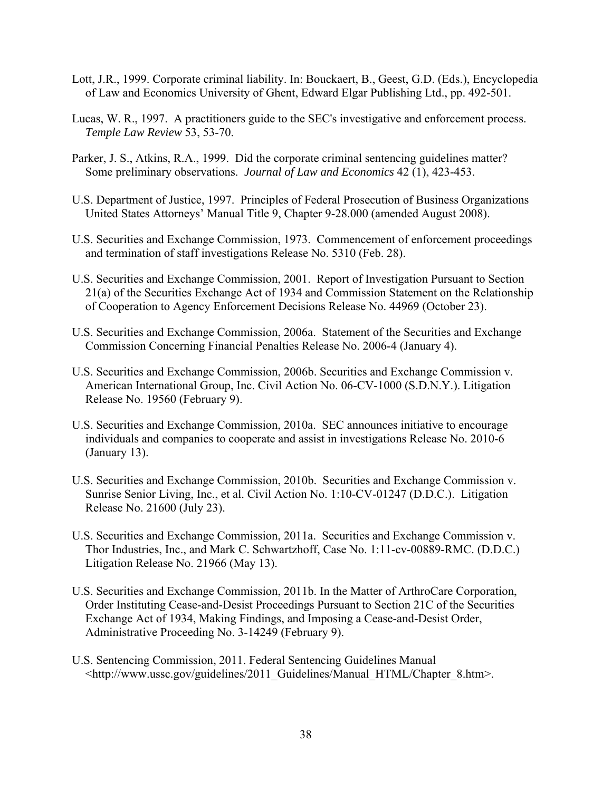- Lott, J.R., 1999. Corporate criminal liability. In: Bouckaert, B., Geest, G.D. (Eds.), Encyclopedia of Law and Economics University of Ghent, Edward Elgar Publishing Ltd., pp. 492-501.
- Lucas, W. R., 1997. A practitioners guide to the SEC's investigative and enforcement process. *Temple Law Review* 53, 53-70.
- Parker, J. S., Atkins, R.A., 1999. Did the corporate criminal sentencing guidelines matter? Some preliminary observations. *Journal of Law and Economics* 42 (1), 423-453.
- U.S. Department of Justice, 1997. Principles of Federal Prosecution of Business Organizations United States Attorneys' Manual Title 9, Chapter 9-28.000 (amended August 2008).
- U.S. Securities and Exchange Commission, 1973. Commencement of enforcement proceedings and termination of staff investigations Release No. 5310 (Feb. 28).
- U.S. Securities and Exchange Commission, 2001. Report of Investigation Pursuant to Section 21(a) of the Securities Exchange Act of 1934 and Commission Statement on the Relationship of Cooperation to Agency Enforcement Decisions Release No. 44969 (October 23).
- U.S. Securities and Exchange Commission, 2006a. Statement of the Securities and Exchange Commission Concerning Financial Penalties Release No. 2006-4 (January 4).
- U.S. Securities and Exchange Commission, 2006b. Securities and Exchange Commission v. American International Group, Inc. Civil Action No. 06-CV-1000 (S.D.N.Y.). Litigation Release No. 19560 (February 9).
- U.S. Securities and Exchange Commission, 2010a. SEC announces initiative to encourage individuals and companies to cooperate and assist in investigations Release No. 2010-6 (January 13).
- U.S. Securities and Exchange Commission, 2010b. Securities and Exchange Commission v. Sunrise Senior Living, Inc., et al. Civil Action No. 1:10-CV-01247 (D.D.C.). Litigation Release No. 21600 (July 23).
- U.S. Securities and Exchange Commission, 2011a. Securities and Exchange Commission v. Thor Industries, Inc., and Mark C. Schwartzhoff, Case No. 1:11-cv-00889-RMC. (D.D.C.) Litigation Release No. 21966 (May 13).
- U.S. Securities and Exchange Commission, 2011b. In the Matter of ArthroCare Corporation, Order Instituting Cease-and-Desist Proceedings Pursuant to Section 21C of the Securities Exchange Act of 1934, Making Findings, and Imposing a Cease-and-Desist Order, Administrative Proceeding No. 3-14249 (February 9).
- U.S. Sentencing Commission, 2011. Federal Sentencing Guidelines Manual <http://www.ussc.gov/guidelines/2011\_Guidelines/Manual\_HTML/Chapter\_8.htm>.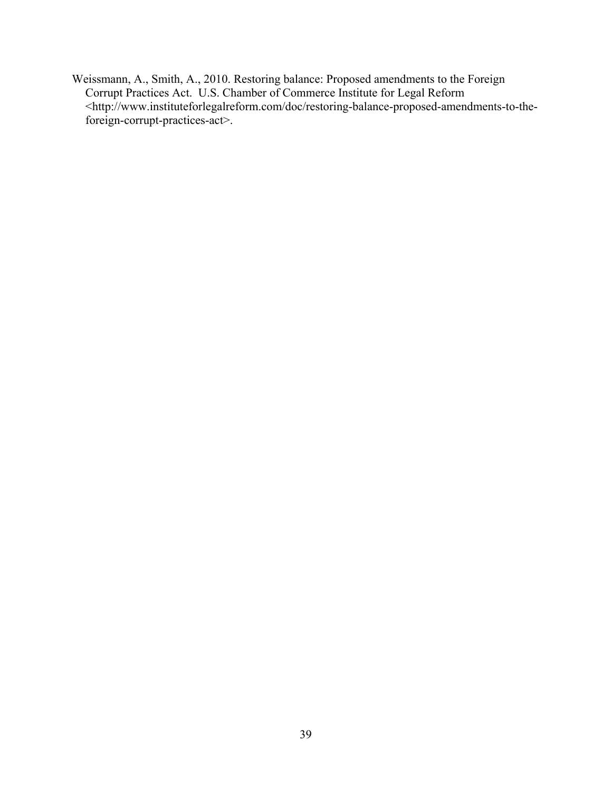Weissmann, A., Smith, A., 2010. Restoring balance: Proposed amendments to the Foreign Corrupt Practices Act. U.S. Chamber of Commerce Institute for Legal Reform <http://www.instituteforlegalreform.com/doc/restoring-balance-proposed-amendments-to-theforeign-corrupt-practices-act>.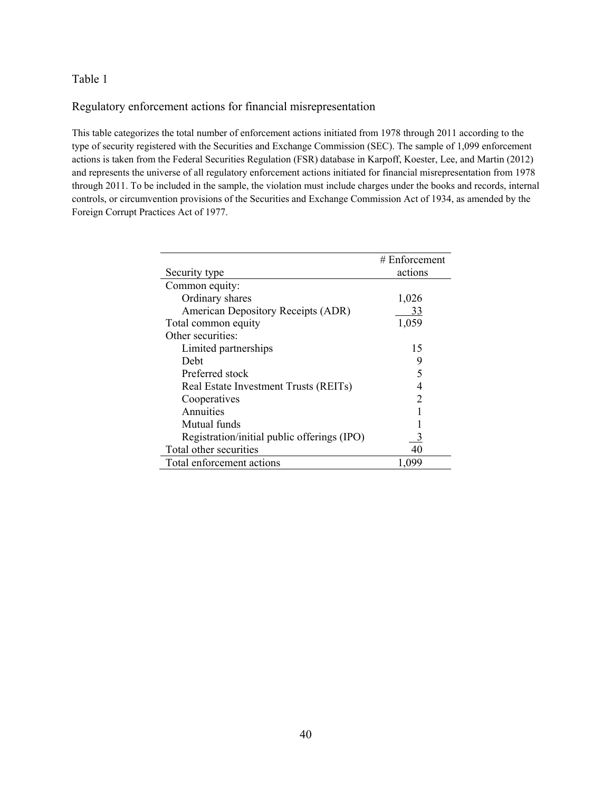Regulatory enforcement actions for financial misrepresentation

This table categorizes the total number of enforcement actions initiated from 1978 through 2011 according to the type of security registered with the Securities and Exchange Commission (SEC). The sample of 1,099 enforcement actions is taken from the Federal Securities Regulation (FSR) database in Karpoff, Koester, Lee, and Martin (2012) and represents the universe of all regulatory enforcement actions initiated for financial misrepresentation from 1978 through 2011. To be included in the sample, the violation must include charges under the books and records, internal controls, or circumvention provisions of the Securities and Exchange Commission Act of 1934, as amended by the Foreign Corrupt Practices Act of 1977.

|                                             | # Enforcement |
|---------------------------------------------|---------------|
| Security type                               | actions       |
| Common equity:                              |               |
| Ordinary shares                             | 1,026         |
| American Depository Receipts (ADR)          | 33            |
| Total common equity                         | 1,059         |
| Other securities:                           |               |
| Limited partnerships                        | 15            |
| Debt                                        | 9             |
| Preferred stock                             | 5             |
| Real Estate Investment Trusts (REITs)       | 4             |
| Cooperatives                                | 2             |
| Annuities                                   |               |
| Mutual funds                                |               |
| Registration/initial public offerings (IPO) |               |
| Total other securities                      | 40            |
| Total enforcement actions                   | 1,099         |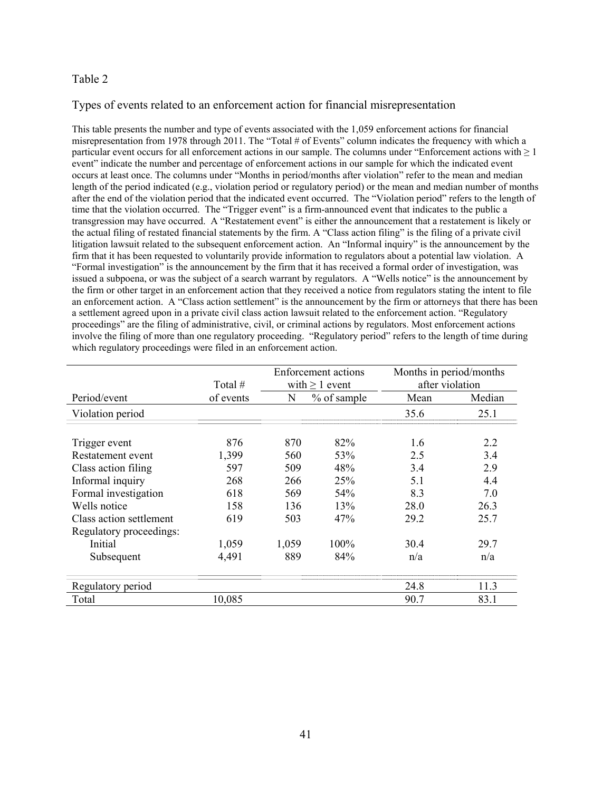## Types of events related to an enforcement action for financial misrepresentation

This table presents the number and type of events associated with the 1,059 enforcement actions for financial misrepresentation from 1978 through 2011. The "Total # of Events" column indicates the frequency with which a particular event occurs for all enforcement actions in our sample. The columns under "Enforcement actions with  $\geq 1$ event" indicate the number and percentage of enforcement actions in our sample for which the indicated event occurs at least once. The columns under "Months in period/months after violation" refer to the mean and median length of the period indicated (e.g., violation period or regulatory period) or the mean and median number of months after the end of the violation period that the indicated event occurred. The "Violation period" refers to the length of time that the violation occurred. The "Trigger event" is a firm-announced event that indicates to the public a transgression may have occurred. A "Restatement event" is either the announcement that a restatement is likely or the actual filing of restated financial statements by the firm. A "Class action filing" is the filing of a private civil litigation lawsuit related to the subsequent enforcement action. An "Informal inquiry" is the announcement by the firm that it has been requested to voluntarily provide information to regulators about a potential law violation. A "Formal investigation" is the announcement by the firm that it has received a formal order of investigation, was issued a subpoena, or was the subject of a search warrant by regulators. A "Wells notice" is the announcement by the firm or other target in an enforcement action that they received a notice from regulators stating the intent to file an enforcement action. A "Class action settlement" is the announcement by the firm or attorneys that there has been a settlement agreed upon in a private civil class action lawsuit related to the enforcement action. "Regulatory proceedings" are the filing of administrative, civil, or criminal actions by regulators. Most enforcement actions involve the filing of more than one regulatory proceeding. "Regulatory period" refers to the length of time during which regulatory proceedings were filed in an enforcement action.

|                         |           | <b>Enforcement</b> actions |                     | Months in period/months |        |
|-------------------------|-----------|----------------------------|---------------------|-------------------------|--------|
|                         | Total #   |                            | with $\geq 1$ event | after violation         |        |
| Period/event            | of events | N                          | % of sample         | Mean                    | Median |
| Violation period        |           |                            |                     | 35.6                    | 25.1   |
| Trigger event           | 876       | 870                        | 82%                 | 1.6                     | 2.2    |
| Restatement event       | 1,399     | 560                        | 53%                 | 2.5                     | 3.4    |
| Class action filing     | 597       | 509                        | 48%                 | 3.4                     | 2.9    |
| Informal inquiry        | 268       | 266                        | 25%                 | 5.1                     | 4.4    |
| Formal investigation    | 618       | 569                        | 54%                 | 8.3                     | 7.0    |
| Wells notice            | 158       | 136                        | 13%                 | 28.0                    | 26.3   |
| Class action settlement | 619       | 503                        | 47%                 | 29.2                    | 25.7   |
| Regulatory proceedings: |           |                            |                     |                         |        |
| Initial                 | 1,059     | 1,059                      | 100%                | 30.4                    | 29.7   |
| Subsequent              | 4,491     | 889                        | 84%                 | n/a                     | n/a    |
| Regulatory period       |           |                            |                     | 24.8                    | 11.3   |
| Total                   | 10,085    |                            |                     | 90.7                    | 83.1   |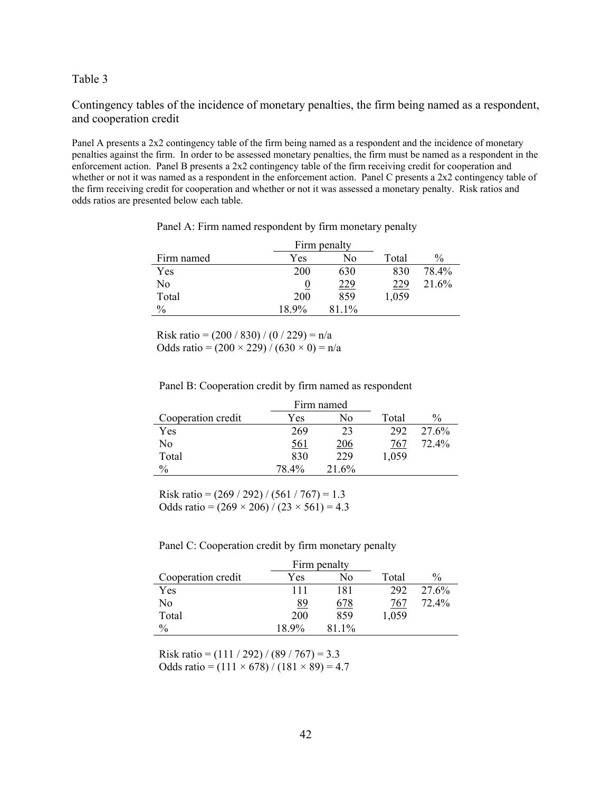Contingency tables of the incidence of monetary penalties, the firm being named as a respondent, and cooperation credit

Panel A presents a 2x2 contingency table of the firm being named as a respondent and the incidence of monetary penalties against the firm. In order to be assessed monetary penalties, the firm must be named as a respondent in the enforcement action. Panel B presents a 2x2 contingency table of the firm receiving credit for cooperation and whether or not it was named as a respondent in the enforcement action. Panel C presents a 2x2 contingency table of the firm receiving credit for cooperation and whether or not it was assessed a monetary penalty. Risk ratios and odds ratios are presented below each table.

|               |       | Firm penalty |       |               |
|---------------|-------|--------------|-------|---------------|
| Firm named    | Yes   | No           | Total | $\frac{0}{0}$ |
| Yes           | 200   | 630          | 830   | 78.4%         |
| No            |       | 229          | 229   | 21.6%         |
| Total         | 200   | 859          | 1,059 |               |
| $\frac{0}{0}$ | 18.9% | 81 1%        |       |               |

Panel A: Firm named respondent by firm monetary penalty

Risk ratio =  $(200 / 830) / (0 / 229) = n/a$ Odds ratio =  $(200 \times 229) / (630 \times 0) = n/a$ 

Panel B: Cooperation credit by firm named as respondent

|                    |            | Firm named |       |               |
|--------------------|------------|------------|-------|---------------|
| Cooperation credit | Yes        | No         | Total | $\frac{0}{0}$ |
| Yes                | 269        | 23         | 292   | 27.6%         |
| No                 | <u>561</u> | 206        | 767   | 72.4%         |
| Total              | 830        | 229        | 1,059 |               |
| $\frac{0}{0}$      | 78.4%      | 21.6%      |       |               |

Risk ratio =  $(269 / 292) / (561 / 767) = 1.3$ Odds ratio =  $(269 \times 206) / (23 \times 561) = 4.3$ 

|  | Panel C: Cooperation credit by firm monetary penalty |  |
|--|------------------------------------------------------|--|
|  |                                                      |  |

|                    |           | Firm penalty |       |               |
|--------------------|-----------|--------------|-------|---------------|
| Cooperation credit | Yes       | No           | Total | $\frac{0}{0}$ |
| Yes                | 111       | 181          | 292   | 27.6%         |
| No                 | <u>89</u> | 678          | 767   | 72.4%         |
| Total              | 200       | 859          | 1,059 |               |
| $\frac{0}{0}$      | 18.9%     | 81.1%        |       |               |

Risk ratio =  $(111 / 292) / (89 / 767) = 3.3$ Odds ratio =  $(111 \times 678) / (181 \times 89) = 4.7$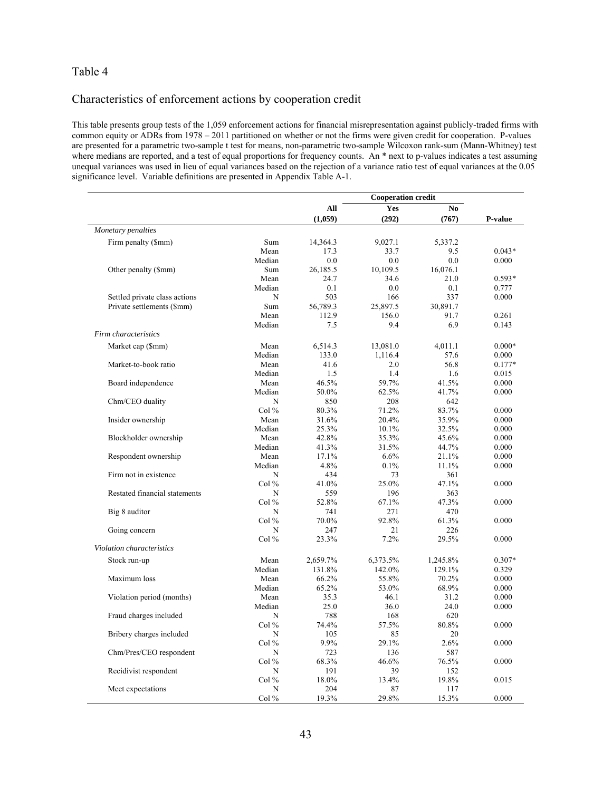#### Characteristics of enforcement actions by cooperation credit

This table presents group tests of the 1,059 enforcement actions for financial misrepresentation against publicly-traded firms with common equity or ADRs from 1978 – 2011 partitioned on whether or not the firms were given credit for cooperation. P-values are presented for a parametric two-sample t test for means, non-parametric two-sample Wilcoxon rank-sum (Mann-Whitney) test where medians are reported, and a test of equal proportions for frequency counts. An \* next to p-values indicates a test assuming unequal variances was used in lieu of equal variances based on the rejection of a variance ratio test of equal variances at the 0.05 significance level. Variable definitions are presented in Appendix Table A-1.

|                               |         | <b>Cooperation credit</b> |          |          |          |
|-------------------------------|---------|---------------------------|----------|----------|----------|
|                               |         | All                       | Yes      | No       |          |
|                               |         | (1,059)                   | (292)    | (767)    | P-value  |
| Monetary penalties            |         |                           |          |          |          |
| Firm penalty (\$mm)           | Sum     | 14,364.3                  | 9.027.1  | 5,337.2  |          |
|                               | Mean    | 17.3                      | 33.7     | 9.5      | $0.043*$ |
|                               | Median  | 0.0                       | 0.0      | 0.0      | 0.000    |
| Other penalty (\$mm)          | Sum     | 26,185.5                  | 10,109.5 | 16,076.1 |          |
|                               | Mean    | 24.7                      | 34.6     | 21.0     | $0.593*$ |
|                               | Median  | 0.1                       | 0.0      | 0.1      | 0.777    |
| Settled private class actions | N       | 503                       | 166      | 337      | 0.000    |
| Private settlements (\$mm)    | Sum     | 56,789.3                  | 25,897.5 | 30,891.7 |          |
|                               | Mean    | 112.9                     | 156.0    | 91.7     | 0.261    |
|                               | Median  | 7.5                       | 9.4      | 6.9      | 0.143    |
| Firm characteristics          |         |                           |          |          |          |
| Market cap (\$mm)             | Mean    | 6,514.3                   | 13,081.0 | 4,011.1  | $0.000*$ |
|                               | Median  | 133.0                     | 1,116.4  | 57.6     | 0.000    |
| Market-to-book ratio          | Mean    | 41.6                      | 2.0      | 56.8     | $0.177*$ |
|                               | Median  | 1.5                       | 1.4      | 1.6      | 0.015    |
| Board independence            | Mean    | 46.5%                     | 59.7%    | 41.5%    | 0.000    |
|                               | Median  | 50.0%                     | 62.5%    | 41.7%    | 0.000    |
| Chm/CEO duality               | N       | 850                       | 208      | 642      |          |
|                               | Col $%$ | 80.3%                     | 71.2%    | 83.7%    | 0.000    |
| Insider ownership             | Mean    | 31.6%                     | 20.4%    | 35.9%    | 0.000    |
|                               | Median  | 25.3%                     | 10.1%    | 32.5%    | 0.000    |
| Blockholder ownership         | Mean    | 42.8%                     | 35.3%    | 45.6%    | 0.000    |
|                               | Median  | 41.3%                     | 31.5%    | 44.7%    | 0.000    |
| Respondent ownership          | Mean    | 17.1%                     | 6.6%     | 21.1%    | 0.000    |
|                               | Median  | 4.8%                      | 0.1%     | 11.1%    | 0.000    |
| Firm not in existence         | N       | 434                       | 73       | 361      |          |
|                               | Col $%$ | 41.0%                     | 25.0%    | 47.1%    | 0.000    |
| Restated financial statements | N       | 559                       | 196      | 363      |          |
|                               | Col $%$ | 52.8%                     | 67.1%    | 47.3%    | 0.000    |
| Big 8 auditor                 | N       | 741                       | 271      | 470      |          |
|                               | Col $%$ | 70.0%                     | 92.8%    | 61.3%    | 0.000    |
| Going concern                 | N       | 247                       | 21       | 226      |          |
|                               | Col $%$ | 23.3%                     | 7.2%     | 29.5%    | 0.000    |
| Violation characteristics     |         |                           |          |          |          |
| Stock run-up                  | Mean    | 2,659.7%                  | 6,373.5% | 1,245.8% | $0.307*$ |
|                               | Median  | 131.8%                    | 142.0%   | 129.1%   | 0.329    |
| Maximum loss                  | Mean    | 66.2%                     | 55.8%    | 70.2%    | 0.000    |
|                               | Median  | 65.2%                     | 53.0%    | 68.9%    | 0.000    |
| Violation period (months)     | Mean    | 35.3                      | 46.1     | 31.2     | 0.000    |
|                               | Median  | 25.0                      | 36.0     | 24.0     | 0.000    |
| Fraud charges included        | N       | 788                       | 168      | 620      |          |
|                               | Col $%$ | 74.4%                     | 57.5%    | 80.8%    | 0.000    |
| Bribery charges included      | N       | 105                       | 85       | 20       |          |
|                               | $Col\%$ | 9.9%                      | 29.1%    | 2.6%     | 0.000    |
| Chm/Pres/CEO respondent       | N       | 723                       | 136      | 587      |          |
|                               | Col $%$ | 68.3%                     | 46.6%    | 76.5%    | 0.000    |
| Recidivist respondent         | N       | 191                       | 39       | 152      |          |
|                               | Col $%$ | 18.0%                     | 13.4%    | 19.8%    | 0.015    |
| Meet expectations             | N       | 204                       | 87       | 117      |          |
|                               | Col%    | 19.3%                     | 29.8%    | 15.3%    | 0.000    |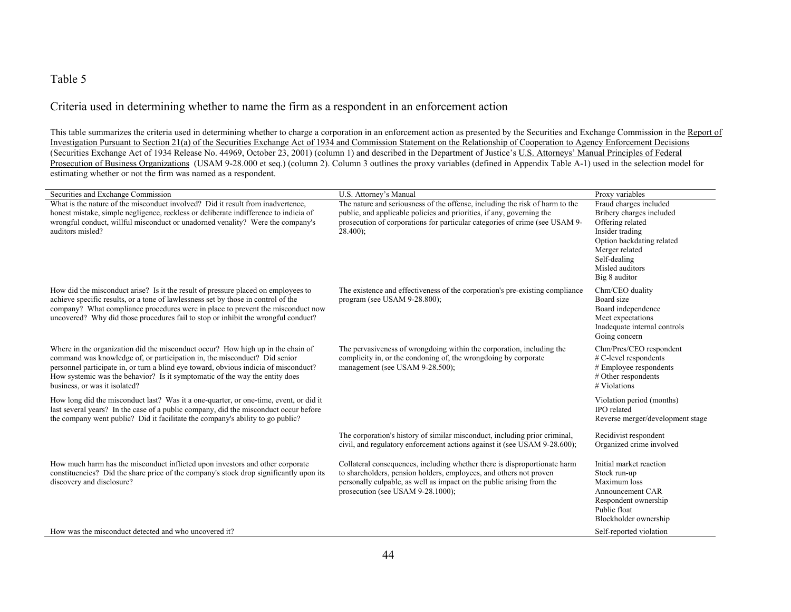### Criteria used in determining whether to name the firm as a respondent in an enforcement action

This table summarizes the criteria used in determining whether to charge a corporation in an enforcement action as presented by the Securities and Exchange Commission in the Report of Investigation Pursuant to Section 21(a) of the Securities Exchange Act of 1934 and Commission Statement on the Relationship of Cooperation to Agency Enforcement Decisions (Securities Exchange Act of 1934 Release No. 44969, October 23, 2001) (column 1) and described in the Department of Justice's U.S. Attorneys' Manual Principles of Federal Prosecution of Business Organizations (USAM 9-28.000 et seq.) (column 2). Column 3 outlines the proxy variables (defined in Appendix Table A-1) used in the selection model for estimating whether or not the firm was named as a respondent.

| Securities and Exchange Commission                                                                                                                                                                                                                                                                                                                                   | U.S. Attorney's Manual                                                                                                                                                                                                                                        | Proxy variables                                                                                                                                                                              |
|----------------------------------------------------------------------------------------------------------------------------------------------------------------------------------------------------------------------------------------------------------------------------------------------------------------------------------------------------------------------|---------------------------------------------------------------------------------------------------------------------------------------------------------------------------------------------------------------------------------------------------------------|----------------------------------------------------------------------------------------------------------------------------------------------------------------------------------------------|
| What is the nature of the misconduct involved? Did it result from inadvertence,<br>honest mistake, simple negligence, reckless or deliberate indifference to indicia of<br>wrongful conduct, willful misconduct or unadorned venality? Were the company's<br>auditors misled?                                                                                        | The nature and seriousness of the offense, including the risk of harm to the<br>public, and applicable policies and priorities, if any, governing the<br>prosecution of corporations for particular categories of crime (see USAM 9-<br>$28.400$ ;            | Fraud charges included<br>Bribery charges included<br>Offering related<br>Insider trading<br>Option backdating related<br>Merger related<br>Self-dealing<br>Misled auditors<br>Big 8 auditor |
| How did the misconduct arise? Is it the result of pressure placed on employees to<br>achieve specific results, or a tone of lawlessness set by those in control of the<br>company? What compliance procedures were in place to prevent the misconduct now<br>uncovered? Why did those procedures fail to stop or inhibit the wrongful conduct?                       | The existence and effectiveness of the corporation's pre-existing compliance<br>program (see USAM 9-28.800);                                                                                                                                                  | Chm/CEO duality<br>Board size<br>Board independence<br>Meet expectations<br>Inadequate internal controls<br>Going concern                                                                    |
| Where in the organization did the misconduct occur? How high up in the chain of<br>command was knowledge of, or participation in, the misconduct? Did senior<br>personnel participate in, or turn a blind eye toward, obvious indicia of misconduct?<br>How systemic was the behavior? Is it symptomatic of the way the entity does<br>business, or was it isolated? | The pervasiveness of wrongdoing within the corporation, including the<br>complicity in, or the condoning of, the wrongdoing by corporate<br>management (see USAM 9-28.500);                                                                                   | Chm/Pres/CEO respondent<br># C-level respondents<br># Employee respondents<br># Other respondents<br># Violations                                                                            |
| How long did the misconduct last? Was it a one-quarter, or one-time, event, or did it<br>last several years? In the case of a public company, did the misconduct occur before<br>the company went public? Did it facilitate the company's ability to go public?                                                                                                      |                                                                                                                                                                                                                                                               | Violation period (months)<br><b>IPO</b> related<br>Reverse merger/development stage                                                                                                          |
|                                                                                                                                                                                                                                                                                                                                                                      | The corporation's history of similar misconduct, including prior criminal,<br>civil, and regulatory enforcement actions against it (see USAM 9-28.600);                                                                                                       | Recidivist respondent<br>Organized crime involved                                                                                                                                            |
| How much harm has the misconduct inflicted upon investors and other corporate<br>constituencies? Did the share price of the company's stock drop significantly upon its<br>discovery and disclosure?<br>How was the misconduct detected and who uncovered it?                                                                                                        | Collateral consequences, including whether there is disproportionate harm<br>to shareholders, pension holders, employees, and others not proven<br>personally culpable, as well as impact on the public arising from the<br>prosecution (see USAM 9-28.1000); | Initial market reaction<br>Stock run-up<br>Maximum loss<br>Announcement CAR<br>Respondent ownership<br>Public float<br>Blockholder ownership<br>Self-reported violation                      |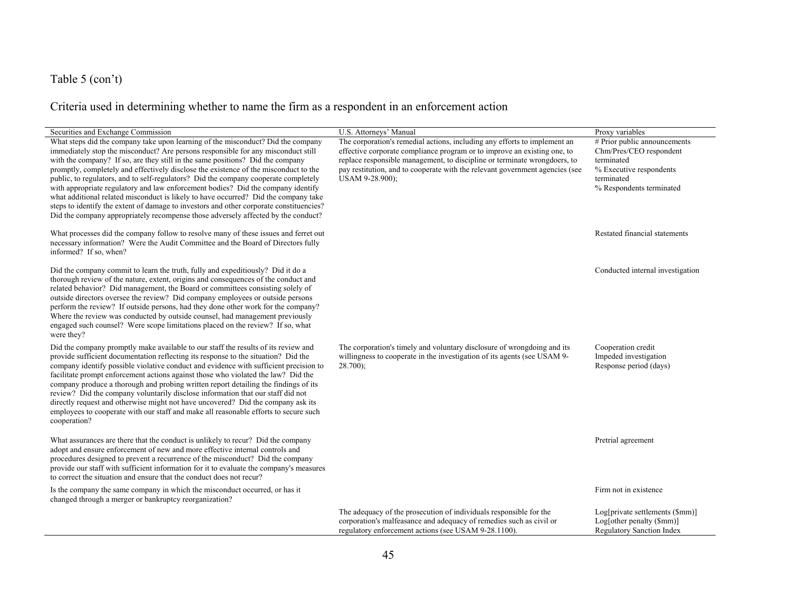# Table 5 (con't)

# Criteria used in determining whether to name the firm as a respondent in an enforcement action

| Securities and Exchange Commission                                                                                                                                                                                                                                                                                                                                                                                                                                                                                                                                                                                                                                                                                                                                                                | U.S. Attorneys' Manual                                                                                                                                                                                                                                                                                                                | Proxy variables                                                                                                                            |
|---------------------------------------------------------------------------------------------------------------------------------------------------------------------------------------------------------------------------------------------------------------------------------------------------------------------------------------------------------------------------------------------------------------------------------------------------------------------------------------------------------------------------------------------------------------------------------------------------------------------------------------------------------------------------------------------------------------------------------------------------------------------------------------------------|---------------------------------------------------------------------------------------------------------------------------------------------------------------------------------------------------------------------------------------------------------------------------------------------------------------------------------------|--------------------------------------------------------------------------------------------------------------------------------------------|
| What steps did the company take upon learning of the misconduct? Did the company<br>immediately stop the misconduct? Are persons responsible for any misconduct still<br>with the company? If so, are they still in the same positions? Did the company<br>promptly, completely and effectively disclose the existence of the misconduct to the<br>public, to regulators, and to self-regulators? Did the company cooperate completely<br>with appropriate regulatory and law enforcement bodies? Did the company identify<br>what additional related misconduct is likely to have occurred? Did the company take<br>steps to identify the extent of damage to investors and other corporate constituencies?<br>Did the company appropriately recompense those adversely affected by the conduct? | The corporation's remedial actions, including any efforts to implement an<br>effective corporate compliance program or to improve an existing one, to<br>replace responsible management, to discipline or terminate wrongdoers, to<br>pay restitution, and to cooperate with the relevant government agencies (see<br>USAM 9-28.900); | # Prior public announcements<br>Chm/Pres/CEO respondent<br>terminated<br>% Executive respondents<br>terminated<br>% Respondents terminated |
| What processes did the company follow to resolve many of these issues and ferret out<br>necessary information? Were the Audit Committee and the Board of Directors fully<br>informed? If so, when?                                                                                                                                                                                                                                                                                                                                                                                                                                                                                                                                                                                                |                                                                                                                                                                                                                                                                                                                                       | Restated financial statements                                                                                                              |
| Did the company commit to learn the truth, fully and expeditiously? Did it do a<br>thorough review of the nature, extent, origins and consequences of the conduct and<br>related behavior? Did management, the Board or committees consisting solely of<br>outside directors oversee the review? Did company employees or outside persons<br>perform the review? If outside persons, had they done other work for the company?<br>Where the review was conducted by outside counsel, had management previously<br>engaged such counsel? Were scope limitations placed on the review? If so, what<br>were they?                                                                                                                                                                                    |                                                                                                                                                                                                                                                                                                                                       | Conducted internal investigation                                                                                                           |
| Did the company promptly make available to our staff the results of its review and<br>provide sufficient documentation reflecting its response to the situation? Did the<br>company identify possible violative conduct and evidence with sufficient precision to<br>facilitate prompt enforcement actions against those who violated the law? Did the<br>company produce a thorough and probing written report detailing the findings of its<br>review? Did the company voluntarily disclose information that our staff did not<br>directly request and otherwise might not have uncovered? Did the company ask its<br>employees to cooperate with our staff and make all reasonable efforts to secure such<br>cooperation?                                                                      | The corporation's timely and voluntary disclosure of wrongdoing and its<br>willingness to cooperate in the investigation of its agents (see USAM 9-<br>$28.700$ ;                                                                                                                                                                     | Cooperation credit<br>Impeded investigation<br>Response period (days)                                                                      |
| What assurances are there that the conduct is unlikely to recur? Did the company<br>adopt and ensure enforcement of new and more effective internal controls and<br>procedures designed to prevent a recurrence of the misconduct? Did the company<br>provide our staff with sufficient information for it to evaluate the company's measures<br>to correct the situation and ensure that the conduct does not recur?                                                                                                                                                                                                                                                                                                                                                                             |                                                                                                                                                                                                                                                                                                                                       | Pretrial agreement                                                                                                                         |
| Is the company the same company in which the misconduct occurred, or has it<br>changed through a merger or bankruptcy reorganization?                                                                                                                                                                                                                                                                                                                                                                                                                                                                                                                                                                                                                                                             |                                                                                                                                                                                                                                                                                                                                       | Firm not in existence                                                                                                                      |
|                                                                                                                                                                                                                                                                                                                                                                                                                                                                                                                                                                                                                                                                                                                                                                                                   | The adequacy of the prosecution of individuals responsible for the<br>corporation's malfeasance and adequacy of remedies such as civil or<br>regulatory enforcement actions (see USAM 9-28.1100).                                                                                                                                     | Log[private settlements (\$mm)]<br>Log[other penalty (\$mm)]<br><b>Regulatory Sanction Index</b>                                           |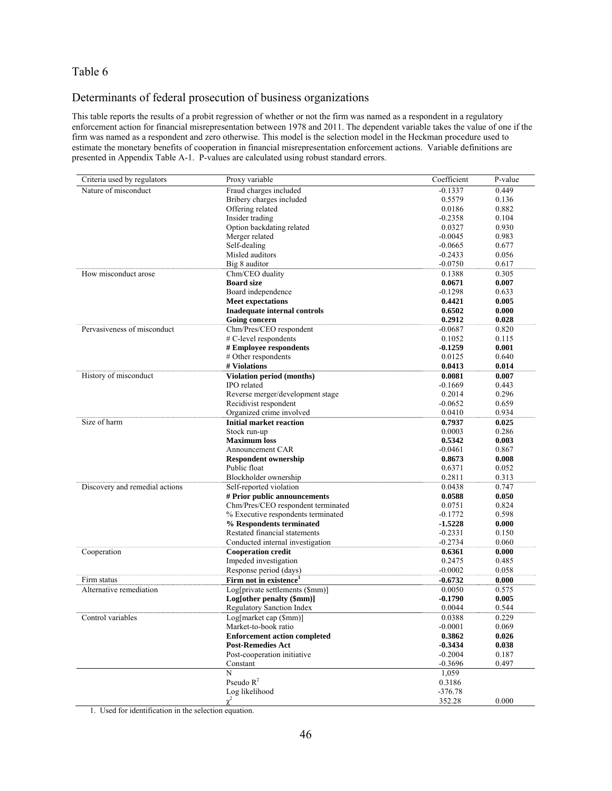## Determinants of federal prosecution of business organizations

This table reports the results of a probit regression of whether or not the firm was named as a respondent in a regulatory enforcement action for financial misrepresentation between 1978 and 2011. The dependent variable takes the value of one if the firm was named as a respondent and zero otherwise. This model is the selection model in the Heckman procedure used to estimate the monetary benefits of cooperation in financial misrepresentation enforcement actions. Variable definitions are presented in Appendix Table A-1. P-values are calculated using robust standard errors.

| Criteria used by regulators    | Proxy variable                           | Coefficient | P-value        |
|--------------------------------|------------------------------------------|-------------|----------------|
| Nature of misconduct           | Fraud charges included                   | $-0.1337$   | 0.449          |
|                                | Bribery charges included                 | 0.5579      | 0.136          |
|                                | Offering related                         | 0.0186      | 0.882          |
|                                | Insider trading                          | $-0.2358$   | 0.104          |
|                                | Option backdating related                | 0.0327      | 0.930          |
|                                | Merger related                           | $-0.0045$   | 0.983          |
|                                | Self-dealing                             | $-0.0665$   | 0.677          |
|                                | Misled auditors                          | $-0.2433$   | 0.056          |
|                                | Big 8 auditor                            | $-0.0750$   | 0.617          |
| How misconduct arose           | Chm/CEO duality                          | 0.1388      | 0.305          |
|                                | <b>Board size</b>                        | 0.0671      | 0.007          |
|                                | Board independence                       | $-0.1298$   | 0.633          |
|                                | <b>Meet expectations</b>                 | 0.4421      | 0.005          |
|                                | Inadequate internal controls             | 0.6502      | 0.000          |
|                                | Going concern                            | 0.2912      | 0.028          |
| Pervasiveness of misconduct    | Chm/Pres/CEO respondent                  | $-0.0687$   | 0.820          |
|                                | # C-level respondents                    | 0.1052      | 0.115          |
|                                | # Employee respondents                   | $-0.1259$   | 0.001          |
|                                | # Other respondents                      | 0.0125      | 0.640          |
|                                | # Violations                             | 0.0413      | 0.014          |
| History of misconduct          |                                          |             |                |
|                                | Violation period (months)<br>IPO related | 0.0081      | 0.007<br>0.443 |
|                                |                                          | $-0.1669$   |                |
|                                | Reverse merger/development stage         | 0.2014      | 0.296          |
|                                | Recidivist respondent                    | $-0.0652$   | 0.659          |
|                                | Organized crime involved                 | 0.0410      | 0.934          |
| Size of harm                   | <b>Initial market reaction</b>           | 0.7937      | 0.025          |
|                                | Stock run-up                             | 0.0003      | 0.286          |
|                                | <b>Maximum</b> loss                      | 0.5342      | 0.003          |
|                                | Announcement CAR                         | $-0.0461$   | 0.867          |
|                                | <b>Respondent ownership</b>              | 0.8673      | 0.008          |
|                                | Public float                             | 0.6371      | 0.052          |
|                                | Blockholder ownership                    | 0.2811      | 0.313          |
| Discovery and remedial actions | Self-reported violation                  | 0.0438      | 0.747          |
|                                | # Prior public announcements             | 0.0588      | 0.050          |
|                                | Chm/Pres/CEO respondent terminated       | 0.0751      | 0.824          |
|                                | % Executive respondents terminated       | $-0.1772$   | 0.598          |
|                                | % Respondents terminated                 | $-1.5228$   | 0.000          |
|                                | Restated financial statements            | $-0.2331$   | 0.150          |
|                                | Conducted internal investigation         | $-0.2734$   | 0.060          |
| Cooperation                    | <b>Cooperation credit</b>                | 0.6361      | 0.000          |
|                                | Impeded investigation                    | 0.2475      | 0.485          |
|                                | Response period (days)                   | $-0.0002$   | 0.058          |
| Firm status                    | Firm not in existence <sup>1</sup>       | $-0.6732$   | 0.000          |
| Alternative remediation        | Log[private settlements (\$mm)]          | 0.0050      | 0.575          |
|                                | Log[other penalty (\$mm)]                | $-0.1790$   | 0.005          |
|                                | Regulatory Sanction Index                | 0.0044      | 0.544          |
| Control variables              | Log[market cap (\$mm)]                   | 0.0388      | 0.229          |
|                                | Market-to-book ratio                     | $-0.0001$   | 0.069          |
|                                | <b>Enforcement action completed</b>      | 0.3862      | 0.026          |
|                                | <b>Post-Remedies Act</b>                 | $-0.3434$   | 0.038          |
|                                | Post-cooperation initiative              | $-0.2004$   | 0.187          |
|                                | Constant                                 | $-0.3696$   | 0.497          |
|                                | N                                        | 1,059       |                |
|                                | Pseudo $R^2$                             | 0.3186      |                |
|                                | Log likelihood                           | $-376.78$   |                |
|                                | $\chi^2$                                 | 352.28      | 0.000          |

1. Used for identification in the selection equation.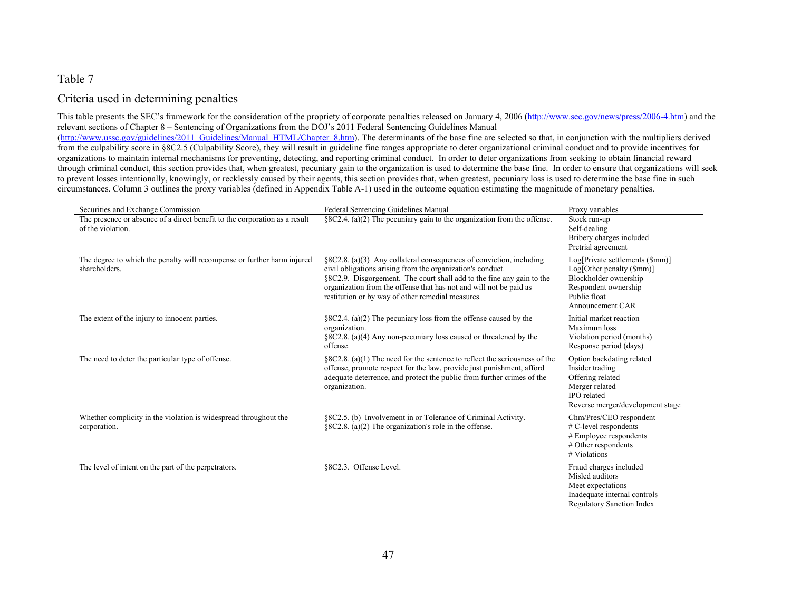### Criteria used in determining penalties

This table presents the SEC's framework for the consideration of the propriety of corporate penalties released on January 4, 2006 (http://www.sec.gov/news/press/2006-4.htm) and the relevant sections of Chapter 8 – Sentencing of Organizations from the DOJ's 2011 Federal Sentencing Guidelines Manual (http://www.ussc.gov/guidelines/2011\_Guidelines/Manual\_HTML/Chapter\_8.htm). The determinants of the base fine are selected so that, in conjunction with the multipliers derived from the culpability score in §8C2.5 (Culpability Score), they will result in guideline fine ranges appropriate to deter organizational criminal conduct and to provide incentives for organizations to maintain internal mechanisms for preventing, detecting, and reporting criminal conduct. In order to deter organizations from seeking to obtain financial reward through criminal conduct, this section provides that, when greatest, pecuniary gain to the organization is used to determine the base fine. In order to ensure that organizations will seek to prevent losses intentionally, knowingly, or recklessly caused by their agents, this section provides that, when greatest, pecuniary loss is used to determine the base fine in such circumstances. Column 3 outlines the proxy variables (defined in Appendix Table A-1) used in the outcome equation estimating the magnitude of monetary penalties.

| Securities and Exchange Commission                                                              | Federal Sentencing Guidelines Manual                                                                                                                                                                                                                                                                                                  | Proxy variables                                                                                                                                  |
|-------------------------------------------------------------------------------------------------|---------------------------------------------------------------------------------------------------------------------------------------------------------------------------------------------------------------------------------------------------------------------------------------------------------------------------------------|--------------------------------------------------------------------------------------------------------------------------------------------------|
| The presence or absence of a direct benefit to the corporation as a result<br>of the violation. | §8C2.4. (a)(2) The pecuniary gain to the organization from the offense.                                                                                                                                                                                                                                                               | Stock run-up<br>Self-dealing<br>Bribery charges included<br>Pretrial agreement                                                                   |
| The degree to which the penalty will recompense or further harm injured<br>shareholders.        | §8C2.8. (a)(3) Any collateral consequences of conviction, including<br>civil obligations arising from the organization's conduct.<br>§8C2.9. Disgorgement. The court shall add to the fine any gain to the<br>organization from the offense that has not and will not be paid as<br>restitution or by way of other remedial measures. | Log[Private settlements (\$mm)]<br>Log[Other penalty (5mm)]<br>Blockholder ownership<br>Respondent ownership<br>Public float<br>Announcement CAR |
| The extent of the injury to innocent parties.                                                   | $\S 8C2.4$ . (a)(2) The pecuniary loss from the offense caused by the<br>organization.<br>$\S 8C2.8$ . (a)(4) Any non-pecuniary loss caused or threatened by the<br>offense.                                                                                                                                                          | Initial market reaction<br>Maximum loss<br>Violation period (months)<br>Response period (days)                                                   |
| The need to deter the particular type of offense.                                               | $\S 8C2.8.$ (a)(1) The need for the sentence to reflect the seriousness of the<br>offense, promote respect for the law, provide just punishment, afford<br>adequate deterrence, and protect the public from further crimes of the<br>organization.                                                                                    | Option backdating related<br>Insider trading<br>Offering related<br>Merger related<br>IPO related<br>Reverse merger/development stage            |
| Whether complicity in the violation is widespread throughout the<br>corporation.                | §8C2.5. (b) Involvement in or Tolerance of Criminal Activity.<br>$\S 8C2.8$ . (a)(2) The organization's role in the offense.                                                                                                                                                                                                          | Chm/Pres/CEO respondent<br>$#$ C-level respondents<br>$#$ Employee respondents<br>$#$ Other respondents<br>$#$ Violations                        |
| The level of intent on the part of the perpetrators.                                            | §8C2.3. Offense Level.                                                                                                                                                                                                                                                                                                                | Fraud charges included<br>Misled auditors<br>Meet expectations<br>Inadequate internal controls<br><b>Regulatory Sanction Index</b>               |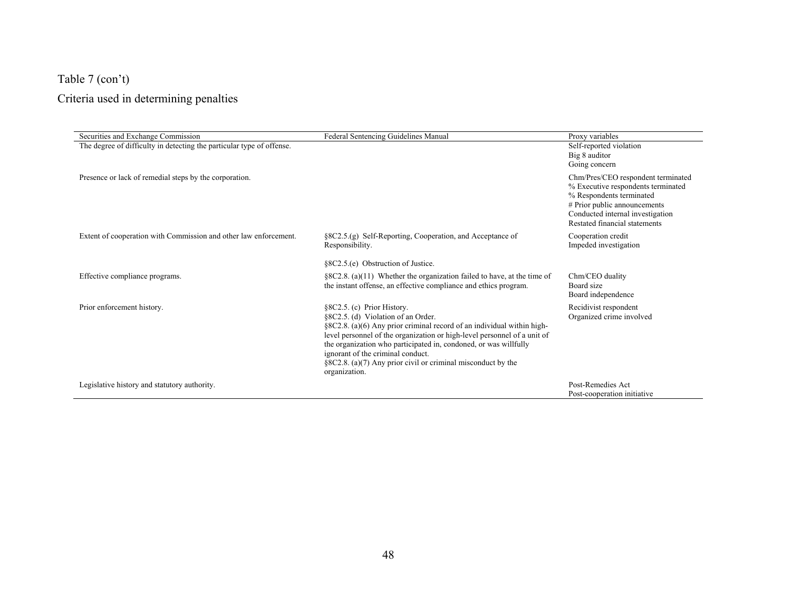# Table 7 (con't)

# Criteria used in determining penalties

| Securities and Exchange Commission                                    | Federal Sentencing Guidelines Manual                                                                                                                                                                                                                                                                                                                                                                             | Proxy variables                                                                                                                                                                                           |
|-----------------------------------------------------------------------|------------------------------------------------------------------------------------------------------------------------------------------------------------------------------------------------------------------------------------------------------------------------------------------------------------------------------------------------------------------------------------------------------------------|-----------------------------------------------------------------------------------------------------------------------------------------------------------------------------------------------------------|
| The degree of difficulty in detecting the particular type of offense. |                                                                                                                                                                                                                                                                                                                                                                                                                  | Self-reported violation<br>Big 8 auditor<br>Going concern                                                                                                                                                 |
| Presence or lack of remedial steps by the corporation.                |                                                                                                                                                                                                                                                                                                                                                                                                                  | Chm/Pres/CEO respondent terminated<br>% Executive respondents terminated<br>% Respondents terminated<br># Prior public announcements<br>Conducted internal investigation<br>Restated financial statements |
| Extent of cooperation with Commission and other law enforcement.      | §8C2.5.(g) Self-Reporting, Cooperation, and Acceptance of<br>Responsibility.                                                                                                                                                                                                                                                                                                                                     | Cooperation credit<br>Impeded investigation                                                                                                                                                               |
|                                                                       | §8C2.5.(e) Obstruction of Justice.                                                                                                                                                                                                                                                                                                                                                                               |                                                                                                                                                                                                           |
| Effective compliance programs.                                        | $\S 8C2.8.$ (a)(11) Whether the organization failed to have, at the time of<br>the instant offense, an effective compliance and ethics program.                                                                                                                                                                                                                                                                  | Chm/CEO duality<br>Board size<br>Board independence                                                                                                                                                       |
| Prior enforcement history.                                            | §8C2.5. (c) Prior History.<br>§8C2.5. (d) Violation of an Order.<br>§8C2.8. (a)(6) Any prior criminal record of an individual within high-<br>level personnel of the organization or high-level personnel of a unit of<br>the organization who participated in, condoned, or was willfully<br>ignorant of the criminal conduct.<br>§8C2.8. (a)(7) Any prior civil or criminal misconduct by the<br>organization. | Recidivist respondent<br>Organized crime involved                                                                                                                                                         |
| Legislative history and statutory authority.                          |                                                                                                                                                                                                                                                                                                                                                                                                                  | Post-Remedies Act<br>Post-cooperation initiative                                                                                                                                                          |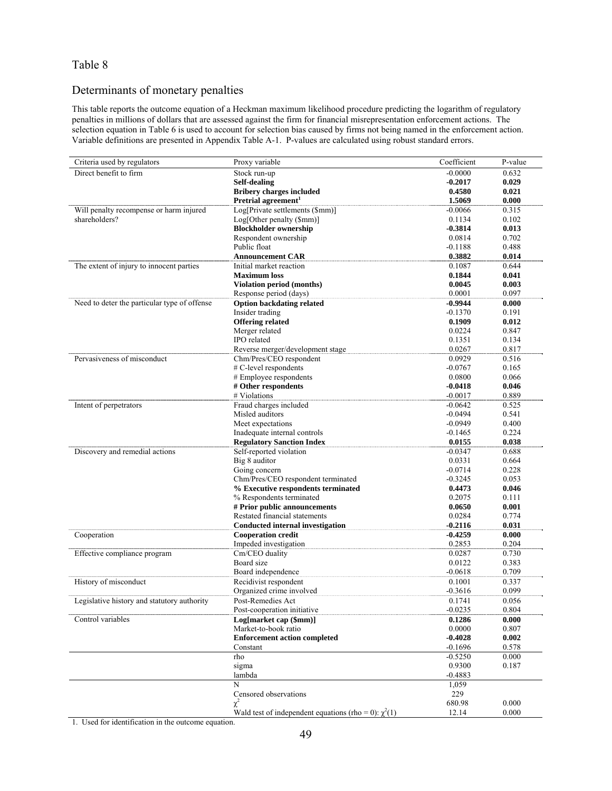## Determinants of monetary penalties

This table reports the outcome equation of a Heckman maximum likelihood procedure predicting the logarithm of regulatory penalties in millions of dollars that are assessed against the firm for financial misrepresentation enforcement actions. The selection equation in Table 6 is used to account for selection bias caused by firms not being named in the enforcement action. Variable definitions are presented in Appendix Table A-1. P-values are calculated using robust standard errors.

| Criteria used by regulators                  | Proxy variable                                            | Coefficient | P-value |
|----------------------------------------------|-----------------------------------------------------------|-------------|---------|
| Direct benefit to firm                       | Stock run-up                                              | $-0.0000$   | 0.632   |
|                                              | Self-dealing                                              | $-0.2017$   | 0.029   |
|                                              | <b>Bribery charges included</b>                           | 0.4580      | 0.021   |
|                                              | Pretrial agreement <sup>1</sup>                           | 1.5069      | 0.000   |
| Will penalty recompense or harm injured      | Log[Private settlements (\$mm)]                           | $-0.0066$   | 0.315   |
| shareholders?                                | Log[Other penalty (\$mm)]                                 | 0.1134      | 0.102   |
|                                              | <b>Blockholder ownership</b>                              | $-0.3814$   | 0.013   |
|                                              | Respondent ownership                                      | 0.0814      | 0.702   |
|                                              | Public float                                              | $-0.1188$   | 0.488   |
|                                              | <b>Announcement CAR</b>                                   | 0.3882      | 0.014   |
| The extent of injury to innocent parties     | Initial market reaction                                   | 0.1087      | 0.644   |
|                                              | <b>Maximum</b> loss                                       | 0.1844      | 0.041   |
|                                              | <b>Violation period (months)</b>                          | 0.0045      | 0.003   |
|                                              | Response period (days)                                    | 0.0001      | 0.097   |
| Need to deter the particular type of offense | <b>Option backdating related</b>                          | $-0.9944$   | 0.000   |
|                                              | Insider trading                                           | $-0.1370$   | 0.191   |
|                                              | <b>Offering related</b>                                   | 0.1909      | 0.012   |
|                                              | Merger related                                            | 0.0224      | 0.847   |
|                                              | IPO related                                               | 0.1351      | 0.134   |
|                                              | Reverse merger/development stage                          | 0.0267      | 0.817   |
| Pervasiveness of misconduct                  | Chm/Pres/CEO respondent                                   | 0.0929      | 0.516   |
|                                              | # C-level respondents                                     | $-0.0767$   | 0.165   |
|                                              | # Employee respondents                                    | 0.0800      | 0.066   |
|                                              | # Other respondents                                       | $-0.0418$   | 0.046   |
|                                              | # Violations                                              | $-0.0017$   | 0.889   |
| Intent of perpetrators                       | Fraud charges included                                    | $-0.0642$   | 0.525   |
|                                              | Misled auditors                                           | $-0.0494$   | 0.541   |
|                                              | Meet expectations                                         | $-0.0949$   | 0.400   |
|                                              | Inadequate internal controls                              | $-0.1465$   | 0.224   |
|                                              | <b>Regulatory Sanction Index</b>                          | 0.0155      | 0.038   |
| Discovery and remedial actions               | Self-reported violation                                   | $-0.0347$   | 0.688   |
|                                              | Big 8 auditor                                             | 0.0331      | 0.664   |
|                                              | Going concern                                             | $-0.0714$   | 0.228   |
|                                              | Chm/Pres/CEO respondent terminated                        | $-0.3245$   | 0.053   |
|                                              | % Executive respondents terminated                        | 0.4473      | 0.046   |
|                                              | % Respondents terminated                                  | 0.2075      | 0.111   |
|                                              | # Prior public announcements                              | 0.0650      | 0.001   |
|                                              | Restated financial statements                             | 0.0284      | 0.774   |
|                                              | <b>Conducted internal investigation</b>                   | $-0.2116$   | 0.031   |
| Cooperation                                  | <b>Cooperation credit</b>                                 | $-0.4259$   | 0.000   |
|                                              | Impeded investigation                                     | 0.2853      | 0.204   |
| Effective compliance program                 | Cm/CEO duality                                            | 0.0287      | 0.730   |
|                                              | Board size                                                | 0.0122      | 0.383   |
|                                              | Board independence                                        | $-0.0618$   | 0.709   |
| History of misconduct                        | Recidivist respondent                                     | 0.1001      | 0.337   |
|                                              | Organized crime involved                                  | $-0.3616$   | 0.099   |
| Legislative history and statutory authority  | Post-Remedies Act                                         | 0.1741      | 0.056   |
|                                              | Post-cooperation initiative                               | $-0.0235$   | 0.804   |
| Control variables                            | Log[market cap (\$mm)]                                    | 0.1286      | 0.000   |
|                                              | Market-to-book ratio                                      | 0.0000      | 0.807   |
|                                              | <b>Enforcement action completed</b>                       | $-0.4028$   | 0.002   |
|                                              | Constant                                                  | $-0.1696$   | 0.578   |
|                                              | rho                                                       | $-0.5250$   | 0.000   |
|                                              | sigma                                                     | 0.9300      | 0.187   |
|                                              | lambda                                                    | $-0.4883$   |         |
|                                              | N                                                         | 1,059       |         |
|                                              | Censored observations                                     | 229         |         |
|                                              | χ                                                         | 680.98      | 0.000   |
|                                              | Wald test of independent equations (rho = 0): $\chi^2(1)$ | 12.14       | 0.000   |

1. Used for identification in the outcome equation.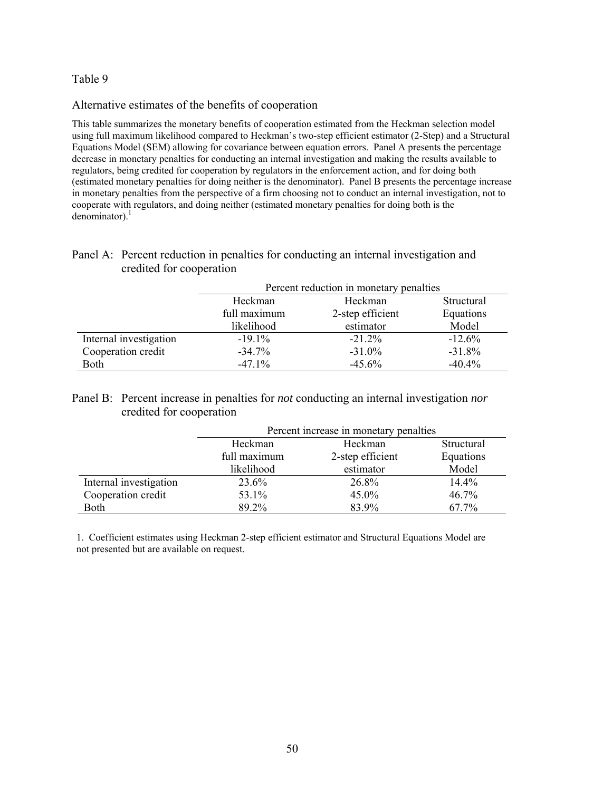#### Alternative estimates of the benefits of cooperation

This table summarizes the monetary benefits of cooperation estimated from the Heckman selection model using full maximum likelihood compared to Heckman's two-step efficient estimator (2-Step) and a Structural Equations Model (SEM) allowing for covariance between equation errors. Panel A presents the percentage decrease in monetary penalties for conducting an internal investigation and making the results available to regulators, being credited for cooperation by regulators in the enforcement action, and for doing both (estimated monetary penalties for doing neither is the denominator). Panel B presents the percentage increase in monetary penalties from the perspective of a firm choosing not to conduct an internal investigation, not to cooperate with regulators, and doing neither (estimated monetary penalties for doing both is the denominator). $1$ 

## Panel A: Percent reduction in penalties for conducting an internal investigation and credited for cooperation

|                        | Percent reduction in monetary penalties |                  |            |
|------------------------|-----------------------------------------|------------------|------------|
|                        | Heckman                                 | Heckman          | Structural |
|                        | full maximum                            | 2-step efficient | Equations  |
|                        | likelihood                              | estimator        | Model      |
| Internal investigation | $-19.1\%$                               | $-21.2%$         | $-12.6%$   |
| Cooperation credit     | $-34.7\%$                               | $-31.0%$         | $-31.8%$   |
| Both                   | $-47.1\%$                               | $-45.6%$         | $-40.4%$   |

## Panel B: Percent increase in penalties for *not* conducting an internal investigation *nor* credited for cooperation

|                        | Percent increase in monetary penalties |                  |            |
|------------------------|----------------------------------------|------------------|------------|
|                        | Heckman                                | Heckman          | Structural |
|                        | full maximum                           | 2-step efficient | Equations  |
|                        | likelihood                             | estimator        | Model      |
| Internal investigation | 23.6%                                  | 26.8%            | $14.4\%$   |
| Cooperation credit     | 53.1%                                  | 45.0%            | 46.7%      |
| Both                   | 89.2%                                  | 83.9%            | 67.7%      |

1. Coefficient estimates using Heckman 2-step efficient estimator and Structural Equations Model are not presented but are available on request.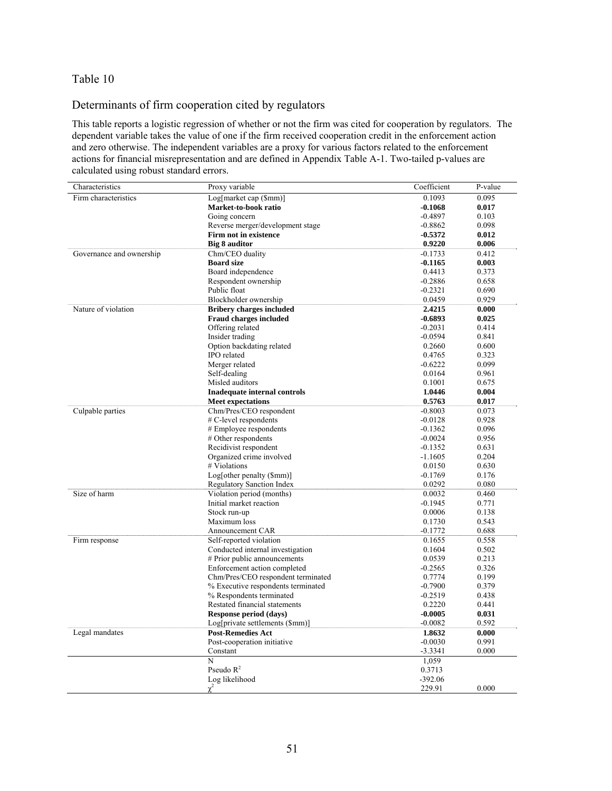## Determinants of firm cooperation cited by regulators

This table reports a logistic regression of whether or not the firm was cited for cooperation by regulators. The dependent variable takes the value of one if the firm received cooperation credit in the enforcement action and zero otherwise. The independent variables are a proxy for various factors related to the enforcement actions for financial misrepresentation and are defined in Appendix Table A-1. Two-tailed p-values are calculated using robust standard errors.

| Characteristics          | Proxy variable                      | Coefficient | P-value |
|--------------------------|-------------------------------------|-------------|---------|
| Firm characteristics     | Log[market cap (\$mm)]              | 0.1093      | 0.095   |
|                          | Market-to-book ratio                | $-0.1068$   | 0.017   |
|                          | Going concern                       | $-0.4897$   | 0.103   |
|                          | Reverse merger/development stage    | $-0.8862$   | 0.098   |
|                          | Firm not in existence               | $-0.5372$   | 0.012   |
|                          | Big 8 auditor                       | 0.9220      | 0.006   |
| Governance and ownership | Chm/CEO duality                     | $-0.1733$   | 0.412   |
|                          | <b>Board size</b>                   | $-0.1165$   | 0.003   |
|                          | Board independence                  | 0.4413      | 0.373   |
|                          | Respondent ownership                | $-0.2886$   | 0.658   |
|                          | Public float                        | $-0.2321$   | 0.690   |
|                          | Blockholder ownership               | 0.0459      | 0.929   |
| Nature of violation      | <b>Bribery charges included</b>     | 2.4215      | 0.000   |
|                          | <b>Fraud charges included</b>       | $-0.6893$   | 0.025   |
|                          | Offering related                    | $-0.2031$   | 0.414   |
|                          | Insider trading                     | $-0.0594$   | 0.841   |
|                          | Option backdating related           | 0.2660      | 0.600   |
|                          | IPO related                         | 0.4765      | 0.323   |
|                          | Merger related                      | $-0.6222$   | 0.099   |
|                          | Self-dealing                        | 0.0164      | 0.961   |
|                          | Misled auditors                     | 0.1001      | 0.675   |
|                          | <b>Inadequate internal controls</b> | 1.0446      | 0.004   |
|                          | <b>Meet expectations</b>            | 0.5763      | 0.017   |
| Culpable parties         | Chm/Pres/CEO respondent             | $-0.8003$   | 0.073   |
|                          | # C-level respondents               | $-0.0128$   | 0.928   |
|                          | # Employee respondents              | $-0.1362$   | 0.096   |
|                          | # Other respondents                 | $-0.0024$   | 0.956   |
|                          | Recidivist respondent               | $-0.1352$   | 0.631   |
|                          | Organized crime involved            | $-1.1605$   | 0.204   |
|                          | # Violations                        | 0.0150      | 0.630   |
|                          | Log[other penalty (\$mm)]           | $-0.1769$   | 0.176   |
|                          | <b>Regulatory Sanction Index</b>    | 0.0292      | 0.080   |
| Size of harm             | Violation period (months)           | 0.0032      | 0.460   |
|                          | Initial market reaction             | $-0.1945$   | 0.771   |
|                          | Stock run-up                        | 0.0006      | 0.138   |
|                          | Maximum loss                        | 0.1730      | 0.543   |
|                          | Announcement CAR                    | $-0.1772$   | 0.688   |
| Firm response            | Self-reported violation             | 0.1655      | 0.558   |
|                          | Conducted internal investigation    | 0.1604      | 0.502   |
|                          | # Prior public announcements        | 0.0539      | 0.213   |
|                          | Enforcement action completed        | $-0.2565$   | 0.326   |
|                          | Chm/Pres/CEO respondent terminated  | 0.7774      | 0.199   |
|                          | % Executive respondents terminated  | $-0.7900$   | 0.379   |
|                          | % Respondents terminated            | $-0.2519$   | 0.438   |
|                          | Restated financial statements       | 0.2220      | 0.441   |
|                          | Response period (days)              | $-0.0005$   | 0.031   |
|                          | Log[private settlements (\$mm)]     | $-0.0082$   | 0.592   |
| Legal mandates           | <b>Post-Remedies Act</b>            | 1.8632      | 0.000   |
|                          | Post-cooperation initiative         | $-0.0030$   | 0.991   |
|                          | Constant                            | $-3.3341$   | 0.000   |
|                          | N                                   | 1,059       |         |
|                          | Pseudo $R^2$                        | 0.3713      |         |
|                          | Log likelihood                      | $-392.06$   |         |
|                          | $\chi^2$                            | 229.91      | 0.000   |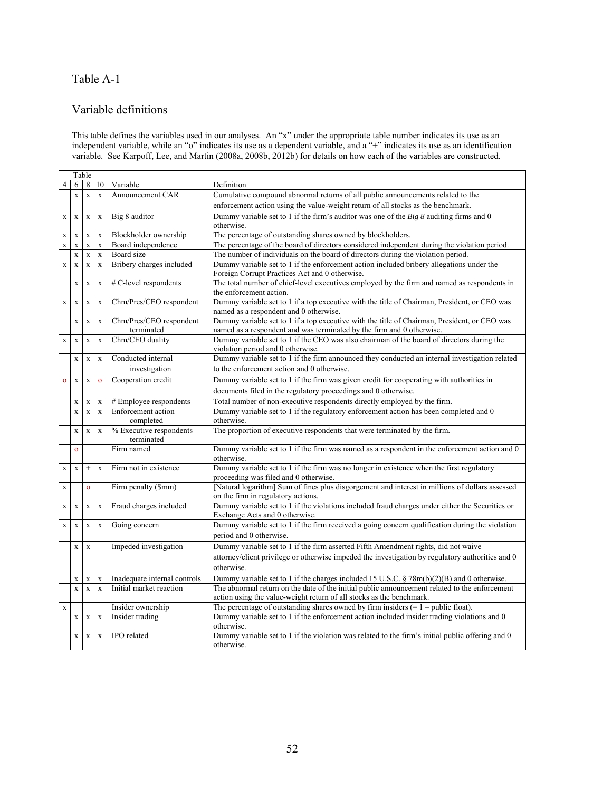## Table A-1

### Variable definitions

This table defines the variables used in our analyses. An "x" under the appropriate table number indicates its use as an independent variable, while an "o" indicates its use as a dependent variable, and a "+" indicates its use as an identification variable. See Karpoff, Lee, and Martin (2008a, 2008b, 2012b) for details on how each of the variables are constructed.

|              |              | Table        |                    |                                       |                                                                                                                                                                       |
|--------------|--------------|--------------|--------------------|---------------------------------------|-----------------------------------------------------------------------------------------------------------------------------------------------------------------------|
| 4            | 6            |              | 8 10               | Variable                              | Definition                                                                                                                                                            |
|              | $\mathbf x$  | $\mathbf X$  | $\mathbf{x}$       | Announcement CAR                      | Cumulative compound abnormal returns of all public announcements related to the                                                                                       |
|              |              |              |                    |                                       | enforcement action using the value-weight return of all stocks as the benchmark.                                                                                      |
| X            | X            | $\mathbf X$  | $\mathbf X$        | Big 8 auditor                         | Dummy variable set to 1 if the firm's auditor was one of the $Big 8$ auditing firms and 0<br>otherwise.                                                               |
| X            | $\mathbf X$  | $\mathbf X$  | $\mathbf x$        | Blockholder ownership                 | The percentage of outstanding shares owned by blockholders.                                                                                                           |
| $\mathbf X$  | $\mathbf X$  | $\mathbf X$  | $\mathbf x$        | Board independence                    | The percentage of the board of directors considered independent during the violation period.                                                                          |
|              | $\mathbf X$  | $\mathbf X$  | $\mathbf x$        | Board size                            | The number of individuals on the board of directors during the violation period.                                                                                      |
| $\mathbf X$  | $\mathbf X$  | $\mathbf{x}$ | $\mathbf X$        | Bribery charges included              | Dummy variable set to 1 if the enforcement action included bribery allegations under the<br>Foreign Corrupt Practices Act and 0 otherwise.                            |
|              | $\mathbf X$  | $\mathbf x$  | $\mathbf X$        | # C-level respondents                 | The total number of chief-level executives employed by the firm and named as respondents in<br>the enforcement action.                                                |
| $\mathbf X$  | $\mathbf X$  | $\mathbf X$  | $\mathbf x$        | Chm/Pres/CEO respondent               | Dummy variable set to 1 if a top executive with the title of Chairman, President, or CEO was                                                                          |
|              |              |              |                    |                                       | named as a respondent and 0 otherwise.                                                                                                                                |
|              | $\mathbf X$  | $\mathbf X$  | $\bf{X}$           | Chm/Pres/CEO respondent<br>terminated | Dummy variable set to 1 if a top executive with the title of Chairman, President, or CEO was<br>named as a respondent and was terminated by the firm and 0 otherwise. |
| $\mathbf X$  | $\mathbf X$  | $\mathbf X$  | $\bf{X}$           | Chm/CEO duality                       | Dummy variable set to 1 if the CEO was also chairman of the board of directors during the<br>violation period and 0 otherwise.                                        |
|              | $\mathbf X$  | $\mathbf x$  | $\mathbf X$        | Conducted internal                    | Dummy variable set to 1 if the firm announced they conducted an internal investigation related                                                                        |
|              |              |              |                    | investigation                         | to the enforcement action and 0 otherwise.                                                                                                                            |
| $\mathbf{o}$ | $\mathbf X$  | $\mathbf x$  | $\mathbf{o}$       | Cooperation credit                    | Dummy variable set to 1 if the firm was given credit for cooperating with authorities in                                                                              |
|              |              |              |                    |                                       | documents filed in the regulatory proceedings and 0 otherwise.                                                                                                        |
|              | $\mathbf X$  | $\mathbf X$  | $\mathbf X$        | # Employee respondents                | Total number of non-executive respondents directly employed by the firm.                                                                                              |
|              | $\mathbf x$  | $\bar{x}$    | $\mathbf x$        | Enforcement action<br>completed       | Dummy variable set to 1 if the regulatory enforcement action has been completed and 0<br>otherwise.                                                                   |
|              | $\mathbf X$  | $\mathbf X$  | $\mathbf X$        | % Executive respondents<br>terminated | The proportion of executive respondents that were terminated by the firm.                                                                                             |
|              | $\mathbf{o}$ |              |                    | Firm named                            | Dummy variable set to 1 if the firm was named as a respondent in the enforcement action and 0                                                                         |
|              |              |              |                    |                                       | otherwise.                                                                                                                                                            |
| $\mathbf X$  | $\mathbf X$  | $^{+}$       | $\mathbf x$        | Firm not in existence                 | Dummy variable set to 1 if the firm was no longer in existence when the first regulatory<br>proceeding was filed and 0 otherwise.                                     |
| $\mathbf X$  |              | $\mathbf{o}$ |                    | Firm penalty (\$mm)                   | [Natural logarithm] Sum of fines plus disgorgement and interest in millions of dollars assessed<br>on the firm in regulatory actions.                                 |
| $\mathbf X$  | $\mathbf X$  | $\mathbf x$  | $\bar{\mathbf{X}}$ | Fraud charges included                | Dummy variable set to 1 if the violations included fraud charges under either the Securities or<br>Exchange Acts and 0 otherwise.                                     |
| $\mathbf x$  | $\mathbf X$  | $\mathbf x$  | $\bar{\mathbf{X}}$ | Going concern                         | Dummy variable set to $\overline{1}$ if the firm received a going concern qualification during the violation                                                          |
|              |              |              |                    |                                       | period and 0 otherwise.                                                                                                                                               |
|              | $\mathbf X$  |              |                    | Impeded investigation                 | Dummy variable set to 1 if the firm asserted Fifth Amendment rights, did not waive                                                                                    |
|              |              | X            |                    |                                       | attorney/client privilege or otherwise impeded the investigation by regulatory authorities and 0                                                                      |
|              |              |              |                    |                                       | otherwise.                                                                                                                                                            |
|              |              |              |                    |                                       |                                                                                                                                                                       |
|              | $\mathbf X$  | $\mathbf X$  | $\mathbf X$        | Inadequate internal controls          | Dummy variable set to 1 if the charges included 15 U.S.C. $\S 78m(b)(2)(B)$ and 0 otherwise.                                                                          |
|              | $\mathbf{x}$ | $\mathbf x$  | $\mathbf{x}$       | Initial market reaction               | The abnormal return on the date of the initial public announcement related to the enforcement<br>action using the value-weight return of all stocks as the benchmark. |
| $\mathbf X$  |              |              |                    | Insider ownership                     | The percentage of outstanding shares owned by firm insiders $(= 1 - \text{public float})$ .                                                                           |
|              | $\mathbf X$  | $\mathbf X$  | $\mathbf X$        | Insider trading                       | Dummy variable set to 1 if the enforcement action included insider trading violations and 0<br>otherwise.                                                             |
|              | $\mathbf X$  | $\mathbf X$  | $\mathbf X$        | IPO related                           | Dummy variable set to 1 if the violation was related to the firm's initial public offering and 0<br>otherwise.                                                        |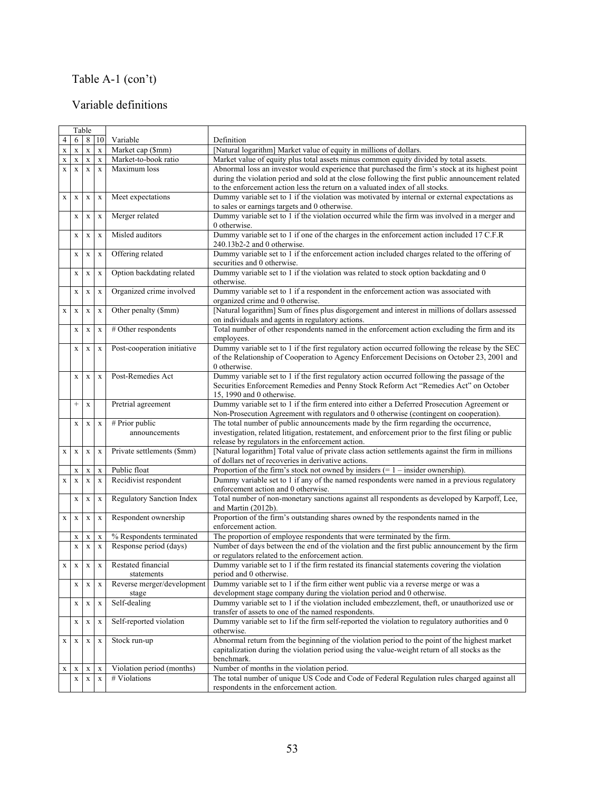# Table A-1 (con't)

## Variable definitions

|             |              | Table        |             |                                     |                                                                                                                                                                                                                                                                                      |
|-------------|--------------|--------------|-------------|-------------------------------------|--------------------------------------------------------------------------------------------------------------------------------------------------------------------------------------------------------------------------------------------------------------------------------------|
| 4           | 6            |              | 8 10        | Variable                            | Definition                                                                                                                                                                                                                                                                           |
| $\mathbf X$ | $\mathbf X$  | $\mathbf X$  | $\mathbf X$ | Market cap (\$mm)                   | [Natural logarithm] Market value of equity in millions of dollars.                                                                                                                                                                                                                   |
| X           | X            | $\mathbf X$  | $\mathbf X$ | Market-to-book ratio                | Market value of equity plus total assets minus common equity divided by total assets.                                                                                                                                                                                                |
| $\mathbf X$ | $\mathbf{x}$ | $\mathbf{X}$ | $\mathbf x$ | Maximum loss                        | Abnormal loss an investor would experience that purchased the firm's stock at its highest point<br>during the violation period and sold at the close following the first public announcement related<br>to the enforcement action less the return on a valuated index of all stocks. |
| $\mathbf X$ | $\mathbf X$  | $\mathbf X$  | $\bf{X}$    | Meet expectations                   | Dummy variable set to 1 if the violation was motivated by internal or external expectations as<br>to sales or earnings targets and 0 otherwise.                                                                                                                                      |
|             | $\mathbf x$  | $\mathbf X$  | $\mathbf X$ | Merger related                      | Dummy variable set to 1 if the violation occurred while the firm was involved in a merger and<br>0 otherwise.                                                                                                                                                                        |
|             | $\mathbf X$  | $\mathbf X$  | $\bf{X}$    | Misled auditors                     | Dummy variable set to 1 if one of the charges in the enforcement action included 17 C.F.R<br>$240.13b2-2$ and 0 otherwise.                                                                                                                                                           |
|             | $\mathbf x$  | $\mathbf X$  | $\mathbf X$ | Offering related                    | Dummy variable set to 1 if the enforcement action included charges related to the offering of<br>securities and 0 otherwise.                                                                                                                                                         |
|             | $\mathbf X$  | $\mathbf x$  | $\mathbf X$ | Option backdating related           | Dummy variable set to 1 if the violation was related to stock option backdating and 0<br>otherwise.                                                                                                                                                                                  |
|             | $\mathbf X$  | $\mathbf X$  | $\mathbf X$ | Organized crime involved            | Dummy variable set to 1 if a respondent in the enforcement action was associated with<br>organized crime and 0 otherwise.                                                                                                                                                            |
| $\mathbf X$ | $\mathbf X$  | $\mathbf X$  | $\mathbf X$ | Other penalty (\$mm)                | [Natural logarithm] Sum of fines plus disgorgement and interest in millions of dollars assessed<br>on individuals and agents in regulatory actions.                                                                                                                                  |
|             | $\mathbf x$  | $\mathbf X$  | $\mathbf X$ | # Other respondents                 | Total number of other respondents named in the enforcement action excluding the firm and its<br>employees.                                                                                                                                                                           |
|             | X            | X            | X           | Post-cooperation initiative         | Dummy variable set to 1 if the first regulatory action occurred following the release by the SEC<br>of the Relationship of Cooperation to Agency Enforcement Decisions on October 23, 2001 and<br>0 otherwise.                                                                       |
|             | $\mathbf X$  | $\mathbf X$  | $\mathbf X$ | Post-Remedies Act                   | Dummy variable set to 1 if the first regulatory action occurred following the passage of the<br>Securities Enforcement Remedies and Penny Stock Reform Act "Remedies Act" on October<br>15, 1990 and 0 otherwise.                                                                    |
|             | $^{+}$       | $\mathbf X$  |             | Pretrial agreement                  | Dummy variable set to 1 if the firm entered into either a Deferred Prosecution Agreement or<br>Non-Prosecution Agreement with regulators and 0 otherwise (contingent on cooperation).                                                                                                |
|             | $\mathbf X$  | $\mathbf X$  | $\mathbf X$ | # Prior public<br>announcements     | The total number of public announcements made by the firm regarding the occurrence,<br>investigation, related litigation, restatement, and enforcement prior to the first filing or public<br>release by regulators in the enforcement action.                                       |
| $\mathbf X$ | $\mathbf X$  | $\mathbf X$  | X           | Private settlements (\$mm)          | [Natural logarithm] Total value of private class action settlements against the firm in millions<br>of dollars net of recoveries in derivative actions.                                                                                                                              |
|             | $\mathbf X$  | $\mathbf X$  | $\mathbf X$ | Public float                        | Proportion of the firm's stock not owned by insiders $(= 1 -$ insider ownership).                                                                                                                                                                                                    |
| $\mathbf X$ | $\mathbf X$  | $\mathbf X$  | $\mathbf X$ | Recidivist respondent               | Dummy variable set to 1 if any of the named respondents were named in a previous regulatory<br>enforcement action and 0 otherwise.                                                                                                                                                   |
|             | $\mathbf X$  | $\mathbf X$  | $\mathbf X$ | Regulatory Sanction Index           | Total number of non-monetary sanctions against all respondents as developed by Karpoff, Lee,<br>and Martin $(2012b)$ .                                                                                                                                                               |
| $\mathbf X$ | $\mathbf X$  | $\mathbf X$  | $\mathbf X$ | Respondent ownership                | Proportion of the firm's outstanding shares owned by the respondents named in the<br>enforcement action.                                                                                                                                                                             |
|             | $\mathbf X$  | $\mathbf X$  | $\mathbf X$ | % Respondents terminated            | The proportion of employee respondents that were terminated by the firm.                                                                                                                                                                                                             |
|             | $\mathbf X$  | $\mathbf X$  | $\mathbf x$ | Response period (days)              | Number of days between the end of the violation and the first public announcement by the firm<br>or regulators related to the enforcement action.                                                                                                                                    |
| $\mathbf X$ | $\mathbf X$  | $\mathbf X$  | $\mathbf X$ | Restated financial<br>statements    | Dummy variable set to 1 if the firm restated its financial statements covering the violation<br>period and 0 otherwise.                                                                                                                                                              |
|             | $\mathbf X$  | $\mathbf X$  | X           | Reverse merger/development<br>stage | Dummy variable set to 1 if the firm either went public via a reverse merge or was a<br>development stage company during the violation period and 0 otherwise.                                                                                                                        |
|             | $\mathbf X$  | $\mathbf X$  | $\mathbf X$ | Self-dealing                        | Dummy variable set to 1 if the violation included embezzlement, theft, or unauthorized use or<br>transfer of assets to one of the named respondents.                                                                                                                                 |
|             | $\mathbf X$  | $\mathbf X$  | $\mathbf X$ | Self-reported violation             | Dummy variable set to 1if the firm self-reported the violation to regulatory authorities and 0<br>otherwise.                                                                                                                                                                         |
| $\mathbf X$ | $\mathbf X$  | $\mathbf X$  | $\mathbf X$ | Stock run-up                        | Abnormal return from the beginning of the violation period to the point of the highest market<br>capitalization during the violation period using the value-weight return of all stocks as the<br>benchmark.                                                                         |
| X           | $\mathbf X$  | $\mathbf X$  | $\mathbf X$ | Violation period (months)           | Number of months in the violation period.                                                                                                                                                                                                                                            |
|             | $\mathbf X$  | $\mathbf X$  | $\mathbf X$ | # Violations                        | The total number of unique US Code and Code of Federal Regulation rules charged against all<br>respondents in the enforcement action.                                                                                                                                                |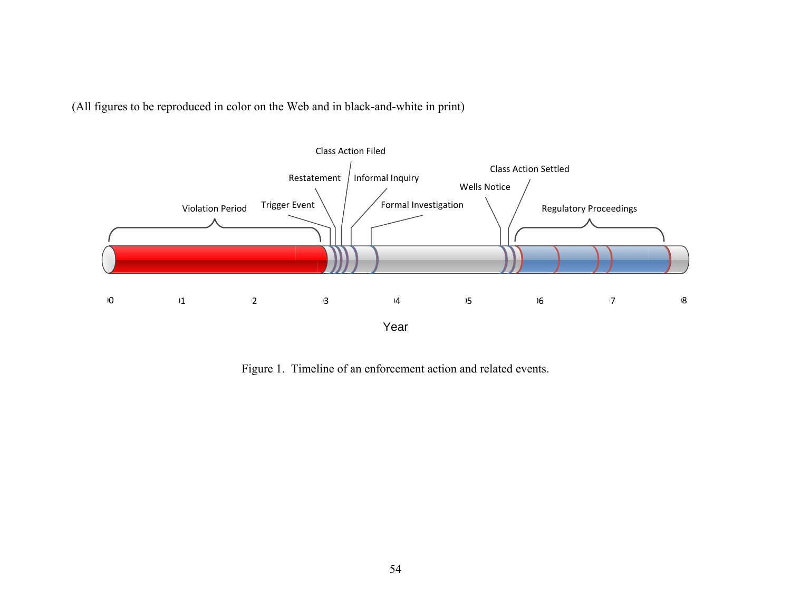(All figures to be reproduced in color on the Web and in black-and-white in print)



Figure 1. Timeline of an enforcement action and related events.